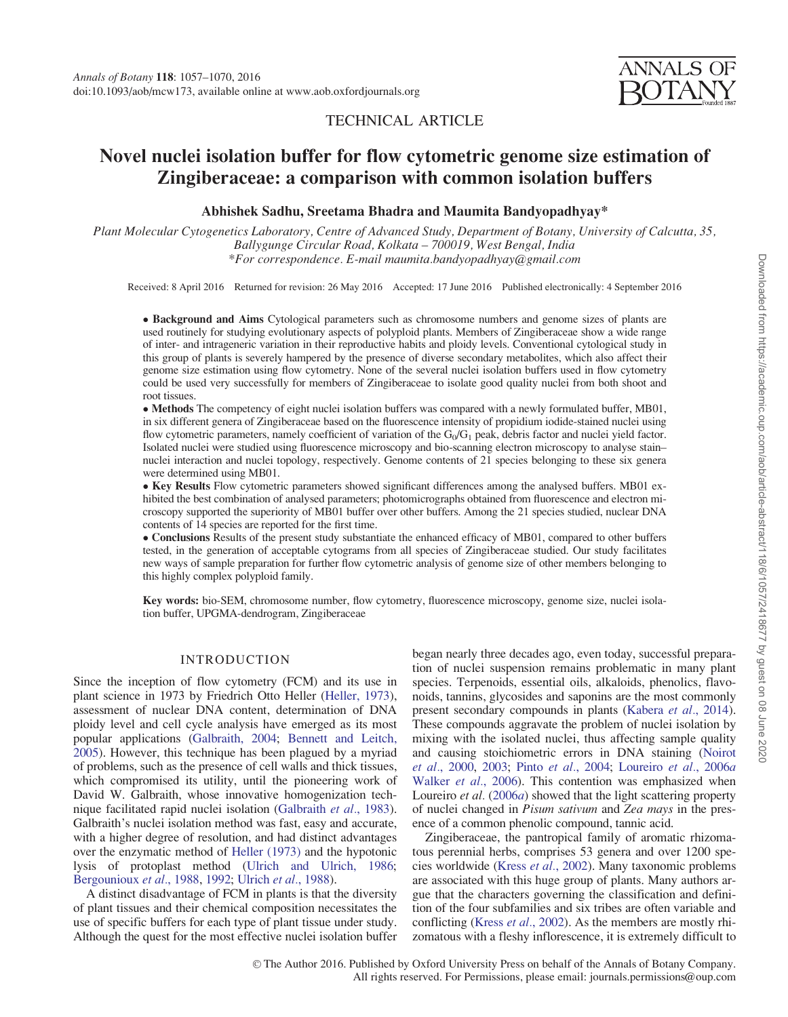# TECHNICAL ARTICLE

# Novel nuclei isolation buffer for flow cytometric genome size estimation of Zingiberaceae: a comparison with common isolation buffers

# Abhishek Sadhu, Sreetama Bhadra and Maumita Bandyopadhyay\*

Plant Molecular Cytogenetics Laboratory, Centre of Advanced Study, Department of Botany, University of Calcutta, 35, Ballygunge Circular Road, Kolkata – 700019, West Bengal, India \*For correspondence. E-mail maumita.bandyopadhyay@gmail.com

Received: 8 April 2016 Returned for revision: 26 May 2016 Accepted: 17 June 2016 Published electronically: 4 September 2016

• Background and Aims Cytological parameters such as chromosome numbers and genome sizes of plants are used routinely for studying evolutionary aspects of polyploid plants. Members of Zingiberaceae show a wide range of inter- and intrageneric variation in their reproductive habits and ploidy levels. Conventional cytological study in this group of plants is severely hampered by the presence of diverse secondary metabolites, which also affect their genome size estimation using flow cytometry. None of the several nuclei isolation buffers used in flow cytometry could be used very successfully for members of Zingiberaceae to isolate good quality nuclei from both shoot and root tissues.

- Methods The competency of eight nuclei isolation buffers was compared with a newly formulated buffer, MB01, in six different genera of Zingiberaceae based on the fluorescence intensity of propidium iodide-stained nuclei using flow cytometric parameters, namely coefficient of variation of the  $G_0/G_1$  peak, debris factor and nuclei yield factor. Isolated nuclei were studied using fluorescence microscopy and bio-scanning electron microscopy to analyse stain– nuclei interaction and nuclei topology, respectively. Genome contents of 21 species belonging to these six genera were determined using MB01.

• Key Results Flow cytometric parameters showed significant differences among the analysed buffers. MB01 exhibited the best combination of analysed parameters; photomicrographs obtained from fluorescence and electron microscopy supported the superiority of MB01 buffer over other buffers. Among the 21 species studied, nuclear DNA contents of 14 species are reported for the first time.

- Conclusions Results of the present study substantiate the enhanced efficacy of MB01, compared to other buffers tested, in the generation of acceptable cytograms from all species of Zingiberaceae studied. Our study facilitates new ways of sample preparation for further flow cytometric analysis of genome size of other members belonging to this highly complex polyploid family.

Key words: bio-SEM, chromosome number, flow cytometry, fluorescence microscopy, genome size, nuclei isolation buffer, UPGMA-dendrogram, Zingiberaceae

# INTRODUCTION

Since the inception of flow cytometry (FCM) and its use in plant science in 1973 by Friedrich Otto Heller ([Heller, 1973\)](#page-12-0), assessment of nuclear DNA content, determination of DNA ploidy level and cell cycle analysis have emerged as its most popular applications ([Galbraith, 2004](#page-12-0); [Bennett and Leitch,](#page-11-0) [2005\)](#page-11-0). However, this technique has been plagued by a myriad of problems, such as the presence of cell walls and thick tissues, which compromised its utility, until the pioneering work of David W. Galbraith, whose innovative homogenization technique facilitated rapid nuclei isolation [\(Galbraith](#page-12-0) et al., 1983). Galbraith's nuclei isolation method was fast, easy and accurate, with a higher degree of resolution, and had distinct advantages over the enzymatic method of [Heller \(1973\)](#page-12-0) and the hypotonic lysis of protoplast method ([Ulrich and Ulrich, 1986;](#page-13-0) [Bergounioux](#page-11-0) et al., 1988, [1992](#page-11-0); [Ulrich](#page-13-0) et al., 1988).

A distinct disadvantage of FCM in plants is that the diversity of plant tissues and their chemical composition necessitates the use of specific buffers for each type of plant tissue under study. Although the quest for the most effective nuclei isolation buffer began nearly three decades ago, even today, successful preparation of nuclei suspension remains problematic in many plant species. Terpenoids, essential oils, alkaloids, phenolics, flavonoids, tannins, glycosides and saponins are the most commonly present secondary compounds in plants [\(Kabera](#page-12-0) et al., 2014). These compounds aggravate the problem of nuclei isolation by mixing with the isolated nuclei, thus affecting sample quality and causing stoichiometric errors in DNA staining ([Noirot](#page-12-0) et al.[, 2000](#page-12-0), [2003;](#page-12-0) Pinto et al.[, 2004](#page-12-0); [Loureiro](#page-12-0) et al., 2006a [Walker](#page-13-0) et al., 2006). This contention was emphasized when Loureiro et al. [\(2006](#page-12-0)a) showed that the light scattering property of nuclei changed in Pisum sativum and Zea mays in the presence of a common phenolic compound, tannic acid.

Zingiberaceae, the pantropical family of aromatic rhizomatous perennial herbs, comprises 53 genera and over 1200 species worldwide (Kress et al.[, 2002\)](#page-12-0). Many taxonomic problems are associated with this huge group of plants. Many authors argue that the characters governing the classification and definition of the four subfamilies and six tribes are often variable and conflicting (Kress et al.[, 2002\)](#page-12-0). As the members are mostly rhizomatous with a fleshy inflorescence, it is extremely difficult to

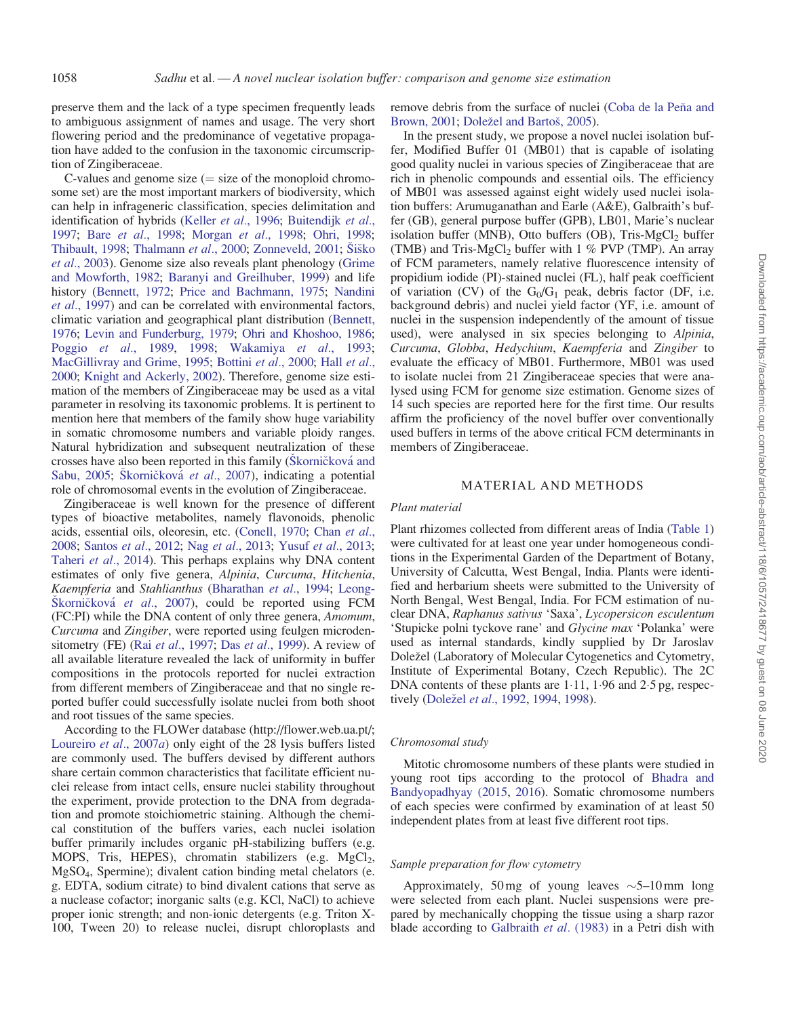preserve them and the lack of a type specimen frequently leads to ambiguous assignment of names and usage. The very short flowering period and the predominance of vegetative propagation have added to the confusion in the taxonomic circumscription of Zingiberaceae.

C-values and genome size  $($  = size of the monoploid chromosome set) are the most important markers of biodiversity, which can help in infrageneric classification, species delimitation and identification of hybrids (Keller et al.[, 1996](#page-12-0); [Buitendijk](#page-11-0) et al., [1997;](#page-11-0) Bare et al.[, 1998](#page-11-0); [Morgan](#page-12-0) et al., 1998; [Ohri, 1998;](#page-12-0) [Thibault, 1998](#page-13-0); [Thalmann](#page-12-0) et al., 2000; [Zonneveld, 2001](#page-13-0); Šiš[ko](#page-12-0) et al.[, 2003\)](#page-12-0). Genome size also reveals plant phenology [\(Grime](#page-12-0) [and Mowforth, 1982](#page-12-0); [Baranyi and Greilhuber, 1999\)](#page-11-0) and life history [\(Bennett, 1972](#page-11-0); [Price and Bachmann, 1975;](#page-12-0) [Nandini](#page-12-0) et al.[, 1997\)](#page-12-0) and can be correlated with environmental factors, climatic variation and geographical plant distribution ([Bennett,](#page-11-0) [1976;](#page-11-0) [Levin and Funderburg, 1979;](#page-12-0) [Ohri and Khoshoo, 1986;](#page-12-0) Poggio et al.[, 1989](#page-12-0), [1998;](#page-12-0) [Wakamiya](#page-13-0) et al., 1993; [MacGillivray and Grime, 1995;](#page-12-0) [Bottini](#page-11-0) [et al.](#page-12-0), 2000; Hall et al., [2000;](#page-12-0) [Knight and Ackerly, 2002](#page-12-0)). Therefore, genome size estimation of the members of Zingiberaceae may be used as a vital parameter in resolving its taxonomic problems. It is pertinent to mention here that members of the family show huge variability in somatic chromosome numbers and variable ploidy ranges. Natural hybridization and subsequent neutralization of these crosses have also been reported in this family (Škornič[kov](#page-12-0)á [and](#page-12-0) [Sabu, 2005;](#page-12-0) Š[korni](#page-12-0)č[kov](#page-12-0)á et al.[, 2007\)](#page-12-0), indicating a potential role of chromosomal events in the evolution of Zingiberaceae.

Zingiberaceae is well known for the presence of different types of bioactive metabolites, namely flavonoids, phenolic acids, essential oils, oleoresin, etc. [\(Conell, 1970;](#page-11-0) [Chan](#page-11-0) et al., [2008;](#page-11-0) [Santos](#page-12-0) et al., 2012; Nag et al.[, 2013;](#page-12-0) Yusuf et al.[, 2013;](#page-13-0) [Taheri](#page-12-0) et al., 2014). This perhaps explains why DNA content estimates of only five genera, Alpinia, Curcuma, Hitchenia, Kaempferia and Stahlianthus ([Bharathan](#page-11-0) et al., 1994; [Leong](#page-12-0)Š[korni](#page-12-0)č[kov](#page-12-0)á et al.[, 2007](#page-12-0)), could be reported using FCM (FC:PI) while the DNA content of only three genera, Amomum, Curcuma and Zingiber, were reported using feulgen microden-sitometry (FE) (Rai et al.[, 1997;](#page-12-0) Das et al.[, 1999\)](#page-11-0). A review of all available literature revealed the lack of uniformity in buffer compositions in the protocols reported for nuclei extraction from different members of Zingiberaceae and that no single reported buffer could successfully isolate nuclei from both shoot and root tissues of the same species.

According to the FLOWer database [\(http://flower.web.ua.pt/;](http://&hxFB02;ower.web.ua.pt/) [Loureiro](#page-12-0) et al., 2007a) only eight of the 28 lysis buffers listed are commonly used. The buffers devised by different authors share certain common characteristics that facilitate efficient nuclei release from intact cells, ensure nuclei stability throughout the experiment, provide protection to the DNA from degradation and promote stoichiometric staining. Although the chemical constitution of the buffers varies, each nuclei isolation buffer primarily includes organic pH-stabilizing buffers (e.g. MOPS, Tris, HEPES), chromatin stabilizers (e.g.  $MgCl<sub>2</sub>$ , MgSO4, Spermine); divalent cation binding metal chelators (e. g. EDTA, sodium citrate) to bind divalent cations that serve as a nuclease cofactor; inorganic salts (e.g. KCl, NaCl) to achieve proper ionic strength; and non-ionic detergents (e.g. Triton X-100, Tween 20) to release nuclei, disrupt chloroplasts and

remove debris from the surface of nuclei ([Coba de la Pe](#page-11-0)ñ[a and](#page-11-0) [Brown, 2001;](#page-11-0) [Dole](#page-11-0)ž[el and Barto](#page-11-0)š[, 2005](#page-11-0)).

In the present study, we propose a novel nuclei isolation buffer, Modified Buffer 01 (MB01) that is capable of isolating good quality nuclei in various species of Zingiberaceae that are rich in phenolic compounds and essential oils. The efficiency of MB01 was assessed against eight widely used nuclei isolation buffers: Arumuganathan and Earle (A&E), Galbraith's buffer (GB), general purpose buffer (GPB), LB01, Marie's nuclear isolation buffer (MNB), Otto buffers (OB), Tris-MgCl<sub>2</sub> buffer (TMB) and Tris-MgCl<sub>2</sub> buffer with 1 % PVP (TMP). An array of FCM parameters, namely relative fluorescence intensity of propidium iodide (PI)-stained nuclei (FL), half peak coefficient of variation (CV) of the  $G_0/G_1$  peak, debris factor (DF, i.e. background debris) and nuclei yield factor (YF, i.e. amount of nuclei in the suspension independently of the amount of tissue used), were analysed in six species belonging to Alpinia, Curcuma, Globba, Hedychium, Kaempferia and Zingiber to evaluate the efficacy of MB01. Furthermore, MB01 was used to isolate nuclei from 21 Zingiberaceae species that were analysed using FCM for genome size estimation. Genome sizes of 14 such species are reported here for the first time. Our results affirm the proficiency of the novel buffer over conventionally used buffers in terms of the above critical FCM determinants in members of Zingiberaceae.

# MATERIAL AND METHODS

#### Plant material

Plant rhizomes collected from different areas of India ([Table 1\)](#page-2-0) were cultivated for at least one year under homogeneous conditions in the Experimental Garden of the Department of Botany, University of Calcutta, West Bengal, India. Plants were identified and herbarium sheets were submitted to the University of North Bengal, West Bengal, India. For FCM estimation of nuclear DNA, Raphanus sativus 'Saxa', Lycopersicon esculentum 'Stupicke polni tyckove rane' and Glycine max 'Polanka' were used as internal standards, kindly supplied by Dr Jaroslav Doležel (Laboratory of Molecular Cytogenetics and Cytometry, Institute of Experimental Botany, Czech Republic). The 2C DNA contents of these plants are  $1.11$ ,  $1.96$  and  $2.5$  pg, respec-tively ([Dole](#page-11-0)žel et al.[, 1992](#page-11-0), [1994,](#page-11-0) [1998](#page-11-0)).

## Chromosomal study

Mitotic chromosome numbers of these plants were studied in young root tips according to the protocol of [Bhadra and](#page-11-0) [Bandyopadhyay \(2015](#page-11-0), [2016](#page-11-0)). Somatic chromosome numbers of each species were confirmed by examination of at least 50 independent plates from at least five different root tips.

# Sample preparation for flow cytometry

Approximately, 50 mg of young leaves  $\sim$  5–10 mm long were selected from each plant. Nuclei suspensions were prepared by mechanically chopping the tissue using a sharp razor blade according to [Galbraith](#page-12-0) et al. (1983) in a Petri dish with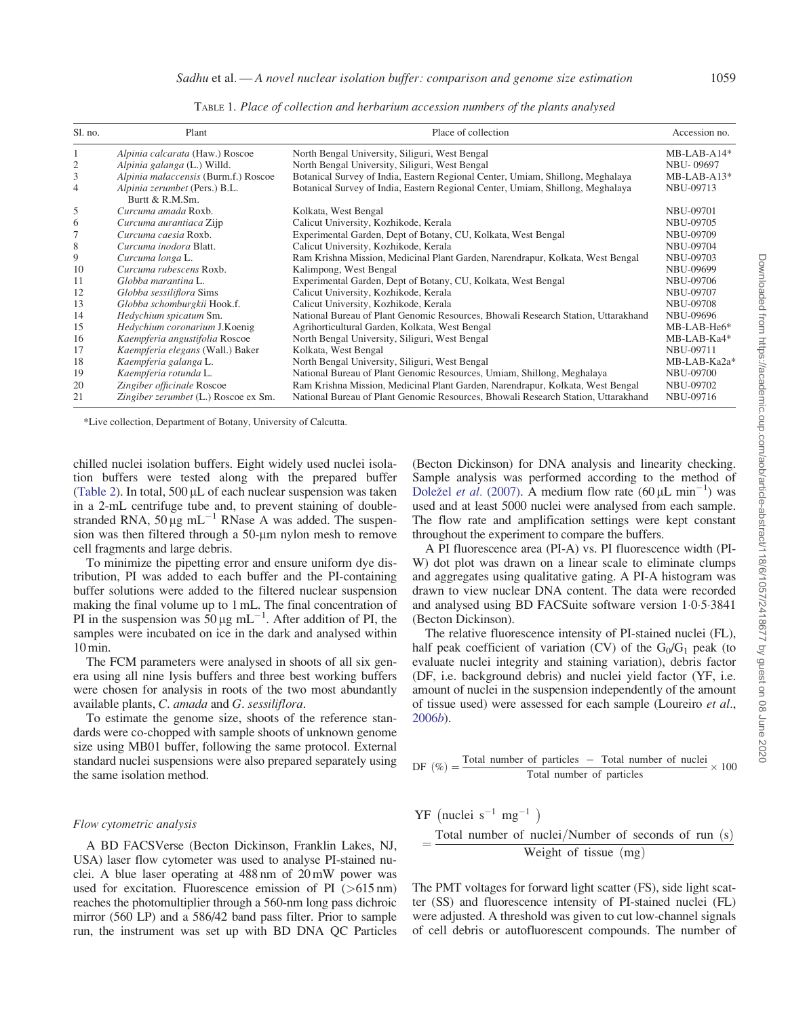<span id="page-2-0"></span>

| Sl. no.        | Plant                                            | Place of collection                                                               | Accession no.    |
|----------------|--------------------------------------------------|-----------------------------------------------------------------------------------|------------------|
|                | Alpinia calcarata (Haw.) Roscoe                  | North Bengal University, Siliguri, West Bengal                                    | $MB-LAB-A14*$    |
| 2              | Alpinia galanga (L.) Willd.                      | North Bengal University, Siliguri, West Bengal                                    | <b>NBU-09697</b> |
| 3              | Alpinia malaccensis (Burm.f.) Roscoe             | Botanical Survey of India, Eastern Regional Center, Umiam, Shillong, Meghalaya    | $MB-LAB-A13*$    |
| $\overline{4}$ | Alpinia zerumbet (Pers.) B.L.<br>Burtt & R.M.Sm. | Botanical Survey of India, Eastern Regional Center, Umiam, Shillong, Meghalaya    | NBU-09713        |
| 5              | Curcuma amada Roxb.                              | Kolkata, West Bengal                                                              | NBU-09701        |
| 6              | Curcuma aurantiaca Zijp                          | Calicut University, Kozhikode, Kerala                                             | <b>NBU-09705</b> |
| 7              | Curcuma caesia Roxb.                             | Experimental Garden, Dept of Botany, CU, Kolkata, West Bengal                     | NBU-09709        |
| 8              | Curcuma inodora Blatt.                           | Calicut University, Kozhikode, Kerala                                             | <b>NBU-09704</b> |
| 9              | Curcuma longa L.                                 | Ram Krishna Mission, Medicinal Plant Garden, Narendrapur, Kolkata, West Bengal    | NBU-09703        |
| 10             | Curcuma rubescens Roxb.                          | Kalimpong, West Bengal                                                            | NBU-09699        |
| 11             | Globba marantina L.                              | Experimental Garden, Dept of Botany, CU, Kolkata, West Bengal                     | <b>NBU-09706</b> |
| 12             | Globba sessiliflora Sims                         | Calicut University, Kozhikode, Kerala                                             | <b>NBU-09707</b> |
| 13             | Globba schomburgkii Hook.f.                      | Calicut University, Kozhikode, Kerala                                             | <b>NBU-09708</b> |
| 14             | Hedychium spicatum Sm.                           | National Bureau of Plant Genomic Resources, Bhowali Research Station, Uttarakhand | NBU-09696        |
| 15             | Hedychium coronarium J.Koenig                    | Agrihorticultural Garden, Kolkata, West Bengal                                    | MB-LAB-He6*      |
| 16             | Kaempferia angustifolia Roscoe                   | North Bengal University, Siliguri, West Bengal                                    | MB-LAB-Ka4*      |
| 17             | Kaempferia elegans (Wall.) Baker                 | Kolkata, West Bengal                                                              | <b>NBU-09711</b> |
| 18             | Kaempferia galanga L.                            | North Bengal University, Siliguri, West Bengal                                    | MB-LAB-Ka2a*     |
| 19             | Kaempferia rotunda L.                            | National Bureau of Plant Genomic Resources, Umiam, Shillong, Meghalaya            | <b>NBU-09700</b> |
| 20             | Zingiber officinale Roscoe                       | Ram Krishna Mission, Medicinal Plant Garden, Narendrapur, Kolkata, West Bengal    | NBU-09702        |
| 21             | Zingiber zerumbet (L.) Roscoe ex Sm.             | National Bureau of Plant Genomic Resources, Bhowali Research Station, Uttarakhand | NBU-09716        |

TABLE 1. Place of collection and herbarium accession numbers of the plants analysed

\*Live collection, Department of Botany, University of Calcutta.

chilled nuclei isolation buffers. Eight widely used nuclei isolation buffers were tested along with the prepared buffer [\(Table 2](#page-3-0)). In total,  $500 \mu L$  of each nuclear suspension was taken in a 2-mL centrifuge tube and, to prevent staining of doublestranded RNA,  $50 \mu g$  mL<sup>-1</sup> RNase A was added. The suspension was then filtered through a  $50$ - $\mu$ m nylon mesh to remove cell fragments and large debris.

To minimize the pipetting error and ensure uniform dye distribution, PI was added to each buffer and the PI-containing buffer solutions were added to the filtered nuclear suspension making the final volume up to 1 mL. The final concentration of PI in the suspension was  $50 \mu g$  mL<sup>-1</sup>. After addition of PI, the samples were incubated on ice in the dark and analysed within 10 min.

The FCM parameters were analysed in shoots of all six genera using all nine lysis buffers and three best working buffers were chosen for analysis in roots of the two most abundantly available plants, C. amada and G. sessiliflora.

To estimate the genome size, shoots of the reference standards were co-chopped with sample shoots of unknown genome size using MB01 buffer, following the same protocol. External standard nuclei suspensions were also prepared separately using the same isolation method.

#### Flow cytometric analysis

A BD FACSVerse (Becton Dickinson, Franklin Lakes, NJ, USA) laser flow cytometer was used to analyse PI-stained nuclei. A blue laser operating at 488 nm of 20 mW power was used for excitation. Fluorescence emission of PI  $(>615 \text{ nm})$ reaches the photomultiplier through a 560-nm long pass dichroic mirror (560 LP) and a 586/42 band pass filter. Prior to sample run, the instrument was set up with BD DNA QC Particles (Becton Dickinson) for DNA analysis and linearity checking. Sample analysis was performed according to the method of [Dole](#page-11-0)žel et al. [\(2007\)](#page-11-0). A medium flow rate  $(60 \,\mu L \text{ min}^{-1})$  was used and at least 5000 nuclei were analysed from each sample. The flow rate and amplification settings were kept constant throughout the experiment to compare the buffers.

A PI fluorescence area (PI-A) vs. PI fluorescence width (PI-W) dot plot was drawn on a linear scale to eliminate clumps and aggregates using qualitative gating. A PI-A histogram was drawn to view nuclear DNA content. The data were recorded and analysed using BD FACSuite software version 1.0.5.3841 (Becton Dickinson).

The relative fluorescence intensity of PI-stained nuclei (FL), half peak coefficient of variation (CV) of the  $G_0/G_1$  peak (to evaluate nuclei integrity and staining variation), debris factor (DF, i.e. background debris) and nuclei yield factor (YF, i.e. amount of nuclei in the suspension independently of the amount of tissue used) were assessed for each sample (Loureiro et al., [2006](#page-12-0)b).

DF (
$$
\% = \frac{\text{Total number of particles}}{\text{Total number of particles}} \times 100
$$

$$
YF (nuclei s-1 mg-1)
$$
  
= Total number of nuclei/Number of seconds of run (s)  
Weight of tissue (mg)

The PMT voltages for forward light scatter (FS), side light scatter (SS) and fluorescence intensity of PI-stained nuclei (FL) were adjusted. A threshold was given to cut low-channel signals of cell debris or autofluorescent compounds. The number of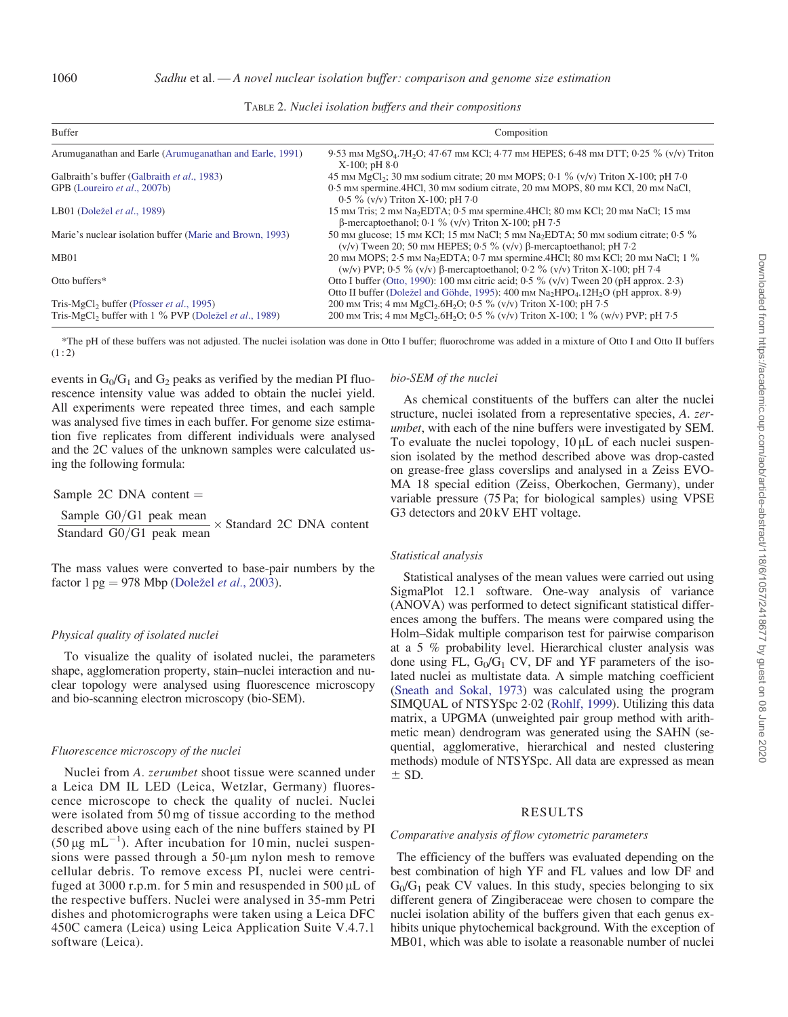<span id="page-3-0"></span>

| Buffer                                                                    | Composition                                                                                                                                                                    |  |  |  |  |
|---------------------------------------------------------------------------|--------------------------------------------------------------------------------------------------------------------------------------------------------------------------------|--|--|--|--|
| Arumuganathan and Earle (Arumuganathan and Earle, 1991)                   | 9.53 mm MgSO <sub>4</sub> .7H <sub>2</sub> O; 47.67 mm KCl; 4.77 mm HEPES; 6.48 mm DTT; 0.25 % (v/v) Triton<br>$X-100$ ; pH $8-0$                                              |  |  |  |  |
| Galbraith's buffer (Galbraith et al., 1983)                               | 45 mm MgCl <sub>2</sub> ; 30 mm sodium citrate; 20 mm MOPS; 0.1 % (v/v) Triton X-100; pH 7.0                                                                                   |  |  |  |  |
| GPB (Loureiro et al., 2007b)                                              | 0.5 mm spermine, 4HCl, 30 mm sodium citrate, 20 mm MOPS, 80 mm KCl, 20 mm NaCl,<br>$0.5\%$ (v/v) Triton X-100; pH 7.0                                                          |  |  |  |  |
| LB01 (Doležel <i>et al.</i> , 1989)                                       | 15 mm Tris; 2 mm Na <sub>2</sub> EDTA; 0.5 mm spermine.4HCl; 80 mm KCl; 20 mm NaCl; 15 mm<br>$\beta$ -mercaptoethanol; 0.1 % (v/v) Triton X-100; pH 7.5                        |  |  |  |  |
| Marie's nuclear isolation buffer (Marie and Brown, 1993)                  | 50 mm glucose; 15 mm KCl; 15 mm NaCl; 5 mm Na <sub>2</sub> EDTA; 50 mm sodium citrate; 0.5 %<br>$(v/v)$ Tween 20; 50 mm HEPES; 0.5 % $(v/v)$ $\beta$ -mercaptoethanol; pH 7.2  |  |  |  |  |
| MB <sub>01</sub>                                                          | 20 mm MOPS; 2.5 mm Na <sub>2</sub> EDTA; 0.7 mm spermine.4HCl; 80 mm KCl; 20 mm NaCl; 1 %<br>(w/v) PVP; 0.5 % (v/v) $\beta$ -mercaptoethanol; 0.2 % (v/v) Triton X-100; pH 7.4 |  |  |  |  |
| Otto buffers*                                                             | Otto I buffer (Otto, 1990): 100 mm citric acid; 0.5 % (v/v) Tween 20 (pH approx. 2.3)                                                                                          |  |  |  |  |
|                                                                           | Otto II buffer (Doležel and Göhde, 1995): 400 mm $Na2HPO412H2O$ (pH approx, 8.9)                                                                                               |  |  |  |  |
| Tris-MgCl <sub>2</sub> buffer (Pfosser <i>et al.</i> , 1995)              | 200 mm Tris; 4 mm MgCl <sub>2</sub> .6H <sub>2</sub> O; 0.5 % (v/v) Triton X-100; pH 7.5                                                                                       |  |  |  |  |
| Tris-MgCl <sub>2</sub> buffer with 1 % PVP (Doležel <i>et al.</i> , 1989) | 200 mm Tris; 4 mm MgCl <sub>2</sub> .6H <sub>2</sub> O; 0.5 % (v/v) Triton X-100; 1 % (w/v) PVP; pH 7.5                                                                        |  |  |  |  |

TABLE 2. Nuclei isolation buffers and their compositions

\*The pH of these buffers was not adjusted. The nuclei isolation was done in Otto I buffer; fluorochrome was added in a mixture of Otto I and Otto II buffers  $(1 : 2)$ 

events in  $G_0/G_1$  and  $G_2$  peaks as verified by the median PI fluorescence intensity value was added to obtain the nuclei yield. All experiments were repeated three times, and each sample was analysed five times in each buffer. For genome size estimation five replicates from different individuals were analysed and the 2C values of the unknown samples were calculated using the following formula:

Sample 2C DNA content  $=$ 

Sample G0/G1 peak mean Standard  $G0/G1$  peak mean Standard 2C DNA content

The mass values were converted to base-pair numbers by the factor  $1 \text{ pg} = 978 \text{ Mbp}$  [\(Dole](#page-11-0)žel *et al.*[, 2003](#page-11-0)).

#### Physical quality of isolated nuclei

To visualize the quality of isolated nuclei, the parameters shape, agglomeration property, stain–nuclei interaction and nuclear topology were analysed using fluorescence microscopy and bio-scanning electron microscopy (bio-SEM).

# Fluorescence microscopy of the nuclei

Nuclei from A. zerumbet shoot tissue were scanned under a Leica DM IL LED (Leica, Wetzlar, Germany) fluorescence microscope to check the quality of nuclei. Nuclei were isolated from 50 mg of tissue according to the method described above using each of the nine buffers stained by PI (50 µg mL<sup>-1</sup>). After incubation for 10 min, nuclei suspensions were passed through a 50-um nylon mesh to remove cellular debris. To remove excess PI, nuclei were centrifuged at 3000 r.p.m. for 5 min and resuspended in 500  $\mu$ L of the respective buffers. Nuclei were analysed in 35-mm Petri dishes and photomicrographs were taken using a Leica DFC 450C camera (Leica) using Leica Application Suite V.4.7.1 software (Leica).

# bio-SEM of the nuclei

As chemical constituents of the buffers can alter the nuclei structure, nuclei isolated from a representative species, A. zerumbet, with each of the nine buffers were investigated by SEM. To evaluate the nuclei topology,  $10 \mu L$  of each nuclei suspension isolated by the method described above was drop-casted on grease-free glass coverslips and analysed in a Zeiss EVO-MA 18 special edition (Zeiss, Oberkochen, Germany), under variable pressure (75 Pa; for biological samples) using VPSE G3 detectors and 20 kV EHT voltage.

#### Statistical analysis

Statistical analyses of the mean values were carried out using SigmaPlot 12.1 software. One-way analysis of variance (ANOVA) was performed to detect significant statistical differences among the buffers. The means were compared using the Holm–Sidak multiple comparison test for pairwise comparison at a 5 % probability level. Hierarchical cluster analysis was done using FL,  $G_0/G_1$  CV, DF and YF parameters of the isolated nuclei as multistate data. A simple matching coefficient ([Sneath and Sokal, 1973](#page-12-0)) was calculated using the program SIMQUAL of NTSYSpc 2.02 ([Rohlf, 1999\)](#page-12-0). Utilizing this data matrix, a UPGMA (unweighted pair group method with arithmetic mean) dendrogram was generated using the SAHN (sequential, agglomerative, hierarchical and nested clustering methods) module of NTSYSpc. All data are expressed as mean  $+$  SD.

# RESULTS

## Comparative analysis of flow cytometric parameters

The efficiency of the buffers was evaluated depending on the best combination of high YF and FL values and low DF and  $G_0/G_1$  peak CV values. In this study, species belonging to six different genera of Zingiberaceae were chosen to compare the nuclei isolation ability of the buffers given that each genus exhibits unique phytochemical background. With the exception of MB01, which was able to isolate a reasonable number of nuclei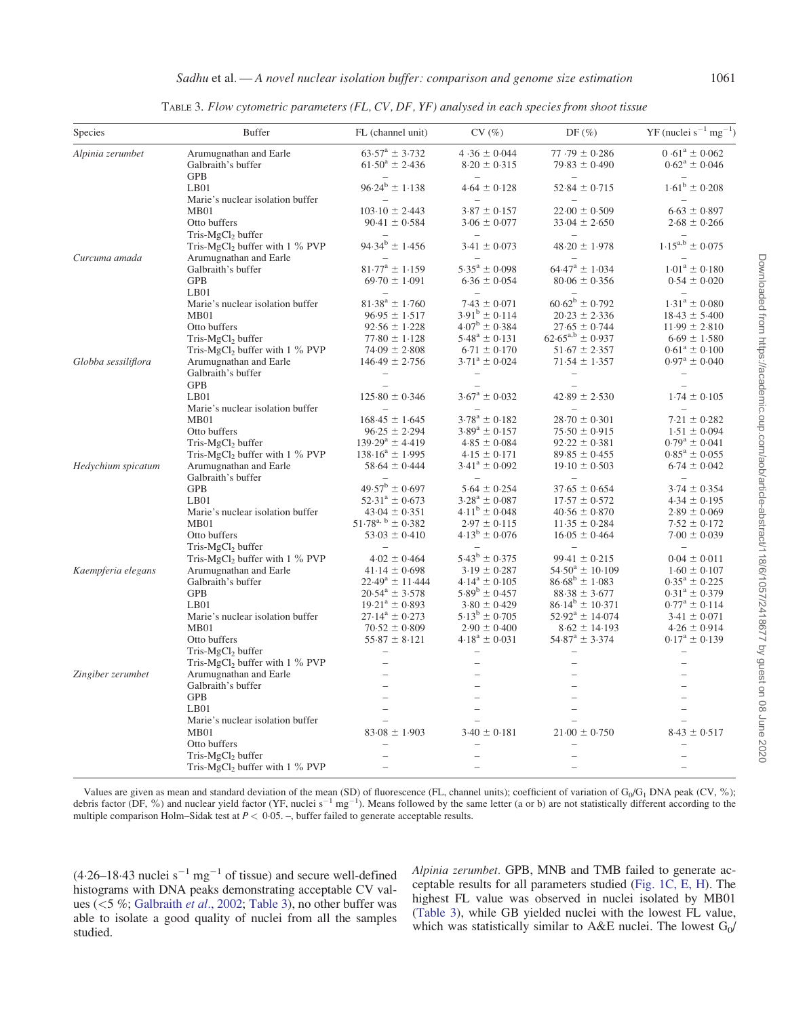<span id="page-4-0"></span>

| Species             | <b>Buffer</b>                                | FL (channel unit)                             | CV(%)                                        | DF $(\%)$                                     | $YF$ (nuclei $s^{-1}$ mg <sup>-1</sup> ) |
|---------------------|----------------------------------------------|-----------------------------------------------|----------------------------------------------|-----------------------------------------------|------------------------------------------|
| Alpinia zerumbet    | Arumugnathan and Earle                       | $63.57^a \pm 3.732$                           | $4.36 \pm 0.044$                             | $77.79 \pm 0.286$                             | $0.61^a \pm 0.062$                       |
|                     | Galbraith's buffer                           | $61.50^a \pm 2.436$                           | $8.20 \pm 0.315$                             | $79.83 \pm 0.490$                             | $0.62^{\mathrm{a}} \pm 0.046$            |
|                     | <b>GPB</b>                                   | $96.24^b \pm 1.138$                           |                                              |                                               | $1.61^b \pm 0.208$                       |
|                     | LB01<br>Marie's nuclear isolation buffer     |                                               | $4.64 \pm 0.128$<br>$\overline{\phantom{a}}$ | $52.84 \pm 0.715$<br>$\overline{\phantom{0}}$ |                                          |
|                     | MB01                                         | $103.10 \pm 2.443$                            | $3.87 \pm 0.157$                             | $22.00 \pm 0.509$                             | $6.63 \pm 0.897$                         |
|                     | Otto buffers                                 | $90.41 \pm 0.584$                             | $3.06 \pm 0.077$                             | $33.04 \pm 2.650$                             | $2.68 \pm 0.266$                         |
|                     | $Tris-MgCl2 buffer$                          |                                               |                                              |                                               |                                          |
|                     | Tris-MgCl <sub>2</sub> buffer with 1 % PVP   | $94.34^b \pm 1.456$                           | $3.41 \pm 0.073$                             | $48.20 \pm 1.978$                             | $1.15^{a,b} \pm 0.075$                   |
| Curcuma amada       | Arumugnathan and Earle                       |                                               |                                              |                                               |                                          |
|                     | Galbraith's buffer                           | $81.77^{\rm a} \pm 1.159$                     | $5.35^{\mathrm{a}} \pm 0.098$                | $64.47^{\rm a} \pm 1.034$                     | $1.01^a \pm 0.180$                       |
|                     | <b>GPB</b>                                   | $69.70 \pm 1.091$                             | $6.36 \pm 0.054$                             | $80.06 \pm 0.356$                             | $0.54 \pm 0.020$                         |
|                     | $L$ B $01$                                   |                                               |                                              |                                               |                                          |
|                     | Marie's nuclear isolation buffer             | $81.38^a \pm 1.760$                           | $7.43 \pm 0.071$                             | $60.62^b \pm 0.792$                           | $1.31^a \pm 0.080$                       |
|                     | MB01                                         | $96.95 \pm 1.517$                             | $3.91^{\rm b} \pm 0.114$                     | $20.23 \pm 2.336$                             | $18.43 \pm 5.400$                        |
|                     | Otto buffers                                 | $92.56 \pm 1.228$                             | $4.07^{\rm b} \pm 0.384$                     | $27.65 \pm 0.744$                             | $11.99 \pm 2.810$                        |
|                     | Tris-MgCl <sub>2</sub> buffer                | $77.80 \pm 1.128$                             | $5.48^a \pm 0.131$                           | $62.65^{a,b} \pm 0.937$                       | $6.69 \pm 1.580$                         |
|                     | Tris-MgCl <sub>2</sub> buffer with $1\%$ PVP | $74.09 \pm 2.808$                             | $6.71 \pm 0.170$                             | $51.67 \pm 2.357$                             | $0.61^a \pm 0.100$                       |
|                     | Arumugnathan and Earle                       | $146.49 \pm 2.756$                            | $3.71^a \pm 0.024$                           |                                               | $0.97^{\rm a} \pm 0.040$                 |
| Globba sessiliflora | Galbraith's buffer                           |                                               |                                              | $71.54 \pm 1.357$                             |                                          |
|                     | <b>GPB</b>                                   |                                               |                                              |                                               |                                          |
|                     | $L$ B $01$                                   | $125.80 \pm 0.346$                            | $3.67^a \pm 0.032$                           | $42.89 \pm 2.530$                             |                                          |
|                     |                                              |                                               |                                              |                                               | $1.74 \pm 0.105$                         |
|                     | Marie's nuclear isolation buffer<br>MB01     |                                               | $3.78^a \pm 0.182$                           |                                               |                                          |
|                     |                                              | $168.45 \pm 1.645$                            | $3.89^a \pm 0.157$                           | $28.70 \pm 0.301$                             | $7.21 \pm 0.282$                         |
|                     | Otto buffers                                 | $96.25 \pm 2.294$<br>$139.29^a \pm 4.419$     | $4.85 \pm 0.084$                             | $75.50 \pm 0.915$<br>$92.22 \pm 0.381$        | $1.51 \pm 0.094$                         |
|                     | Tris-MgCl <sub>2</sub> buffer                | $138.16^a \pm 1.995$                          | $4.15 \pm 0.171$                             | $89.85 \pm 0.455$                             | $0.79^{\rm a} \pm 0.041$                 |
|                     | Tris-MgCl <sub>2</sub> buffer with $1\%$ PVP |                                               |                                              |                                               | $0.85^{\rm a} \pm 0.055$                 |
| Hedychium spicatum  | Arumugnathan and Earle<br>Galbraith's buffer | $58.64 \pm 0.444$                             | $3.41^a \pm 0.092$                           | $19.10 \pm 0.503$                             | $6.74 \pm 0.042$                         |
|                     | <b>GPB</b>                                   | $49.57^{\rm b} \pm 0.697$                     | $5.64 \pm 0.254$                             | $37.65 \pm 0.654$                             | $3.74 \pm 0.354$                         |
|                     | $L$ B $01$                                   | $52.31^a \pm 0.673$                           | $3.28^a \pm 0.087$                           |                                               |                                          |
|                     |                                              |                                               | $4.11^b \pm 0.048$                           | $17.57 \pm 0.572$                             | $4.34 \pm 0.195$                         |
|                     | Marie's nuclear isolation buffer             | $43.04 \pm 0.351$<br>$51.78^{a, b} \pm 0.382$ | $2.97 \pm 0.115$                             | $40.56 \pm 0.870$                             | $2.89 \pm 0.069$                         |
|                     | MB01                                         |                                               |                                              | $11.35 \pm 0.284$                             | $7.52 \pm 0.172$                         |
|                     | Otto buffers                                 | $53.03 \pm 0.410$                             | $4.13^b \pm 0.076$                           | $16.05 \pm 0.464$                             | $7.00 \pm 0.039$                         |
|                     | Tris-MgCl <sub>2</sub> buffer                |                                               | $5.43^b \pm 0.375$                           | $99.41 \pm 0.215$                             |                                          |
|                     | Tris-MgCl <sub>2</sub> buffer with 1 % PVP   | $4.02 \pm 0.464$                              |                                              |                                               | $0.04 \pm 0.011$                         |
| Kaempferia elegans  | Arumugnathan and Earle                       | $41.14 \pm 0.698$                             | $3.19 \pm 0.287$                             | $54.50^a \pm 10.109$                          | $1.60 \pm 0.107$                         |
|                     | Galbraith's buffer                           | $22.49^a \pm 11.444$                          | $4.14^a \pm 0.105$                           | $86.68^b \pm 1.083$                           | $0.35^{\rm a} \pm 0.225$                 |
|                     | <b>GPB</b><br>$L$ B $01$                     | $20.54^a \pm 3.578$<br>$19.21^a \pm 0.893$    | $5.89^b \pm 0.457$                           | $88.38 \pm 3.677$<br>$86.14^b \pm 10.371$     | $0.31^a \pm 0.379$                       |
|                     |                                              |                                               | $3.80 \pm 0.429$<br>$5.13^b \pm 0.705$       |                                               | $0.77^{\rm a} \pm 0.114$                 |
|                     | Marie's nuclear isolation buffer             | $27.14^a \pm 0.273$                           |                                              | $52.92^a \pm 14.074$                          | $3.41 \pm 0.071$                         |
|                     | MB01                                         | $70.52 \pm 0.809$                             | $2.90 \pm 0.400$                             | $8.62 \pm 14.193$                             | $4.26 \pm 0.914$                         |
|                     | Otto buffers                                 | $55.87 \pm 8.121$                             | $4.18^a \pm 0.031$                           | $54.87^{\rm a} \pm 3.374$                     | $0.17^a \pm 0.139$                       |
|                     | Tris-MgCl <sub>2</sub> buffer                |                                               |                                              |                                               |                                          |
|                     | Tris-MgCl <sub>2</sub> buffer with $1\%$ PVP |                                               |                                              |                                               |                                          |
| Zingiber zerumbet   | Arumugnathan and Earle                       | $\overline{\phantom{a}}$                      |                                              |                                               |                                          |
|                     | Galbraith's buffer                           |                                               |                                              |                                               |                                          |
|                     | <b>GPB</b>                                   | $\overline{\phantom{0}}$                      |                                              |                                               |                                          |
|                     | $L$ B $01$                                   | $\overline{\phantom{0}}$                      |                                              |                                               |                                          |
|                     | Marie's nuclear isolation buffer             |                                               |                                              |                                               |                                          |
|                     | MB01                                         | $83.08 \pm 1.903$                             | $3.40 \pm 0.181$                             | $21.00 \pm 0.750$                             | $8.43 \pm 0.517$                         |
|                     | Otto buffers                                 |                                               | $\overline{\phantom{0}}$                     |                                               |                                          |
|                     | Tris-MgCl <sub>2</sub> buffer                |                                               |                                              |                                               |                                          |
|                     | Tris-MgCl <sub>2</sub> buffer with $1\%$ PVP |                                               |                                              |                                               |                                          |

TABLE 3. Flow cytometric parameters (FL, CV, DF, YF) analysed in each species from shoot tissue

Values are given as mean and standard deviation of the mean (SD) of fluorescence (FL, channel units); coefficient of variation of G<sub>0</sub>/G<sub>1</sub> DNA peak (CV, %); debris factor (DF, %) and nuclear yield factor (YF, nuclei  $s^{-1}$  mg<sup>-1</sup>). Means followed by the same letter (a or b) are not statistically different according to the multiple comparison Holm–Sidak test at  $P < 0.05$ . –, buffer failed to generate acceptable results.

 $(4.26-18.43$  nuclei  $s^{-1}$  mg<sup>-1</sup> of tissue) and secure well-defined histograms with DNA peaks demonstrating acceptable CV values (<5 %; [Galbraith](#page-12-0) et al., 2002; Table 3), no other buffer was able to isolate a good quality of nuclei from all the samples studied.

Alpinia zerumbet. GPB, MNB and TMB failed to generate acceptable results for all parameters studied ([Fig. 1C, E, H](#page-5-0)). The highest FL value was observed in nuclei isolated by MB01 (Table 3), while GB yielded nuclei with the lowest FL value, which was statistically similar to A&E nuclei. The lowest  $G_0/$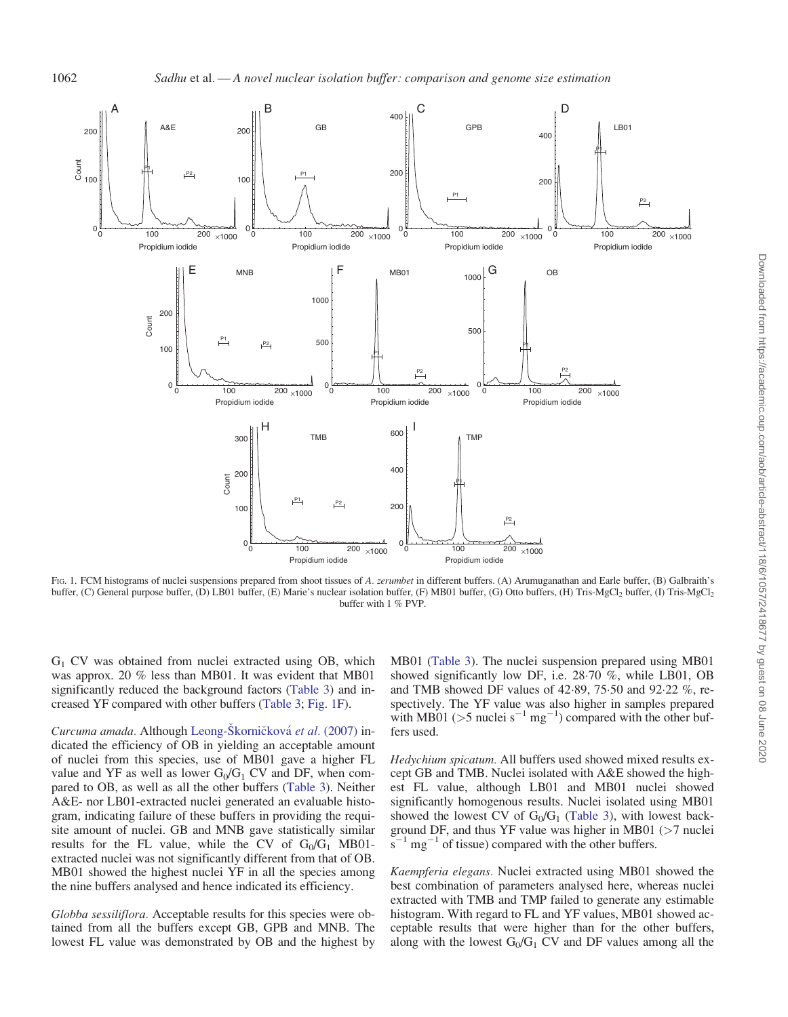<span id="page-5-0"></span>

FIG. 1. FCM histograms of nuclei suspensions prepared from shoot tissues of A. zerumbet in different buffers. (A) Arumuganathan and Earle buffer, (B) Galbraith's buffer, (C) General purpose buffer, (D) LB01 buffer, (E) Marie's nuclear isolation buffer, (F) MB01 buffer, (G) Otto buffers, (H) Tris-MgCl<sub>2</sub> buffer, (I) Tris-MgCl<sub>2</sub> buffer with 1 % PVP.

 $G_1$  CV was obtained from nuclei extracted using OB, which was approx. 20 % less than MB01. It was evident that MB01 significantly reduced the background factors ([Table 3](#page-4-0)) and increased YF compared with other buffers [\(Table 3](#page-4-0); Fig. 1F).

Curcuma amada. Although Leong-Škornič[kov](#page-12-0)á et al. [\(2007\)](#page-12-0) indicated the efficiency of OB in yielding an acceptable amount of nuclei from this species, use of MB01 gave a higher FL value and YF as well as lower  $G_0/G_1$  CV and DF, when compared to OB, as well as all the other buffers ([Table 3](#page-4-0)). Neither A&E- nor LB01-extracted nuclei generated an evaluable histogram, indicating failure of these buffers in providing the requisite amount of nuclei. GB and MNB gave statistically similar results for the FL value, while the CV of  $G_0/G_1$  MB01extracted nuclei was not significantly different from that of OB. MB01 showed the highest nuclei YF in all the species among the nine buffers analysed and hence indicated its efficiency.

Globba sessiliflora. Acceptable results for this species were obtained from all the buffers except GB, GPB and MNB. The lowest FL value was demonstrated by OB and the highest by

MB01 [\(Table 3](#page-4-0)). The nuclei suspension prepared using MB01 showed significantly low DF, i.e. 28.70 %, while LB01, OB and TMB showed DF values of  $42.89$ ,  $75.50$  and  $92.22$  %, respectively. The YF value was also higher in samples prepared with MB01 ( $>$ 5 nuclei s<sup>-1</sup> mg<sup>-1</sup>) compared with the other buffers used.

Hedychium spicatum. All buffers used showed mixed results except GB and TMB. Nuclei isolated with A&E showed the highest FL value, although LB01 and MB01 nuclei showed significantly homogenous results. Nuclei isolated using MB01 showed the lowest CV of  $G_0/G_1$  ([Table 3\)](#page-4-0), with lowest background DF, and thus YF value was higher in MB01  $($ >7 nuclei  $\sin^{-1}$  mg<sup>-1</sup> of tissue) compared with the other buffers.

Kaempferia elegans. Nuclei extracted using MB01 showed the best combination of parameters analysed here, whereas nuclei extracted with TMB and TMP failed to generate any estimable histogram. With regard to FL and YF values, MB01 showed acceptable results that were higher than for the other buffers, along with the lowest  $G_0/G_1$  CV and DF values among all the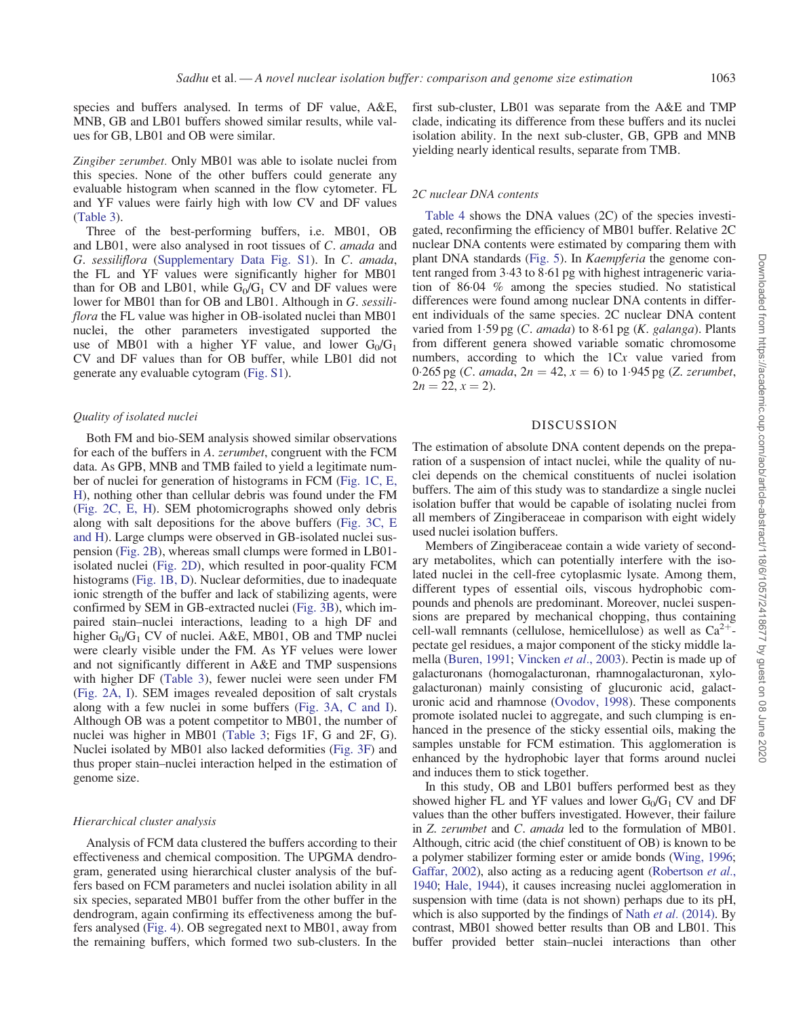species and buffers analysed. In terms of DF value, A&E, MNB, GB and LB01 buffers showed similar results, while values for GB, LB01 and OB were similar.

Zingiber zerumbet. Only MB01 was able to isolate nuclei from this species. None of the other buffers could generate any evaluable histogram when scanned in the flow cytometer. FL and YF values were fairly high with low CV and DF values [\(Table 3](#page-4-0)).

Three of the best-performing buffers, i.e. MB01, OB and LB01, were also analysed in root tissues of C. amada and G. sessiliflora ([Supplementary Data Fig. S1\)](http://aob.oxfordjournals.org/lookup/suppl/doi:10.1093/aob/mcw173/-/DC1). In C. amada, the FL and YF values were significantly higher for MB01 than for OB and LB01, while  $G_0/G_1$  CV and DF values were lower for MB01 than for OB and LB01. Although in G. sessiliflora the FL value was higher in OB-isolated nuclei than MB01 nuclei, the other parameters investigated supported the use of MB01 with a higher YF value, and lower  $G_0/G_1$ CV and DF values than for OB buffer, while LB01 did not generate any evaluable cytogram ([Fig. S1\)](http://aob.oxfordjournals.org/lookup/suppl/doi:10.1093/aob/mcw173/-/DC1).

#### Quality of isolated nuclei

Both FM and bio-SEM analysis showed similar observations for each of the buffers in A. zerumbet, congruent with the FCM data. As GPB, MNB and TMB failed to yield a legitimate number of nuclei for generation of histograms in FCM ([Fig. 1C, E,](#page-5-0) [H](#page-5-0)), nothing other than cellular debris was found under the FM [\(Fig. 2C, E, H](#page-7-0)). SEM photomicrographs showed only debris along with salt depositions for the above buffers [\(Fig. 3C, E](#page-8-0) [and H\)](#page-8-0). Large clumps were observed in GB-isolated nuclei suspension [\(Fig. 2B\)](#page-7-0), whereas small clumps were formed in LB01 isolated nuclei [\(Fig. 2D](#page-7-0)), which resulted in poor-quality FCM histograms ([Fig. 1B, D](#page-5-0)). Nuclear deformities, due to inadequate ionic strength of the buffer and lack of stabilizing agents, were confirmed by SEM in GB-extracted nuclei ([Fig. 3B](#page-8-0)), which impaired stain–nuclei interactions, leading to a high DF and higher  $G_0/G_1$  CV of nuclei. A&E, MB01, OB and TMP nuclei were clearly visible under the FM. As YF velues were lower and not significantly different in A&E and TMP suspensions with higher DF ([Table 3\)](#page-4-0), fewer nuclei were seen under FM [\(Fig. 2A, I](#page-7-0)). SEM images revealed deposition of salt crystals along with a few nuclei in some buffers [\(Fig. 3A, C and I\)](#page-8-0). Although OB was a potent competitor to MB01, the number of nuclei was higher in MB01 [\(Table 3](#page-4-0); Figs 1F, G and 2F, G). Nuclei isolated by MB01 also lacked deformities [\(Fig. 3F](#page-8-0)) and thus proper stain–nuclei interaction helped in the estimation of genome size.

# Hierarchical cluster analysis

Analysis of FCM data clustered the buffers according to their effectiveness and chemical composition. The UPGMA dendrogram, generated using hierarchical cluster analysis of the buffers based on FCM parameters and nuclei isolation ability in all six species, separated MB01 buffer from the other buffer in the dendrogram, again confirming its effectiveness among the buffers analysed [\(Fig. 4](#page-9-0)). OB segregated next to MB01, away from the remaining buffers, which formed two sub-clusters. In the first sub-cluster, LB01 was separate from the A&E and TMP clade, indicating its difference from these buffers and its nuclei isolation ability. In the next sub-cluster, GB, GPB and MNB yielding nearly identical results, separate from TMB.

## 2C nuclear DNA contents

[Table 4](#page-9-0) shows the DNA values (2C) of the species investigated, reconfirming the efficiency of MB01 buffer. Relative 2C nuclear DNA contents were estimated by comparing them with plant DNA standards ([Fig. 5](#page-10-0)). In Kaempferia the genome content ranged from 3.43 to 8.61 pg with highest intrageneric variation of 8604 % among the species studied. No statistical differences were found among nuclear DNA contents in different individuals of the same species. 2C nuclear DNA content varied from  $1.59$  pg (C. amada) to  $8.61$  pg (K. galanga). Plants from different genera showed variable somatic chromosome numbers, according to which the 1Cx value varied from 0.265 pg (*C. amada*,  $2n = 42$ ,  $x = 6$ ) to 1.945 pg (*Z. zerumbet*,  $2n = 22, x = 2$ .

## DISCUSSION

The estimation of absolute DNA content depends on the preparation of a suspension of intact nuclei, while the quality of nuclei depends on the chemical constituents of nuclei isolation buffers. The aim of this study was to standardize a single nuclei isolation buffer that would be capable of isolating nuclei from all members of Zingiberaceae in comparison with eight widely used nuclei isolation buffers.

Members of Zingiberaceae contain a wide variety of secondary metabolites, which can potentially interfere with the isolated nuclei in the cell-free cytoplasmic lysate. Among them, different types of essential oils, viscous hydrophobic compounds and phenols are predominant. Moreover, nuclei suspensions are prepared by mechanical chopping, thus containing cell-wall remnants (cellulose, hemicellulose) as well as  $Ca^{2+}$ pectate gel residues, a major component of the sticky middle lamella [\(Buren, 1991](#page-11-0); [Vincken](#page-13-0) et al., 2003). Pectin is made up of galacturonans (homogalacturonan, rhamnogalacturonan, xylogalacturonan) mainly consisting of glucuronic acid, galacturonic acid and rhamnose ([Ovodov, 1998\)](#page-12-0). These components promote isolated nuclei to aggregate, and such clumping is enhanced in the presence of the sticky essential oils, making the samples unstable for FCM estimation. This agglomeration is enhanced by the hydrophobic layer that forms around nuclei and induces them to stick together.

In this study, OB and LB01 buffers performed best as they showed higher FL and YF values and lower  $G_0/G_1$  CV and DF values than the other buffers investigated. However, their failure in Z. zerumbet and C. amada led to the formulation of MB01. Although, citric acid (the chief constituent of OB) is known to be a polymer stabilizer forming ester or amide bonds [\(Wing, 1996](#page-13-0); [Gaffar, 2002](#page-12-0)), also acting as a reducing agent [\(Robertson](#page-12-0) *et al.*, [1940;](#page-12-0) [Hale, 1944](#page-12-0)), it causes increasing nuclei agglomeration in suspension with time (data is not shown) perhaps due to its pH, which is also supported by the findings of Nath *et al.* [\(2014\).](#page-12-0) By contrast, MB01 showed better results than OB and LB01. This buffer provided better stain–nuclei interactions than other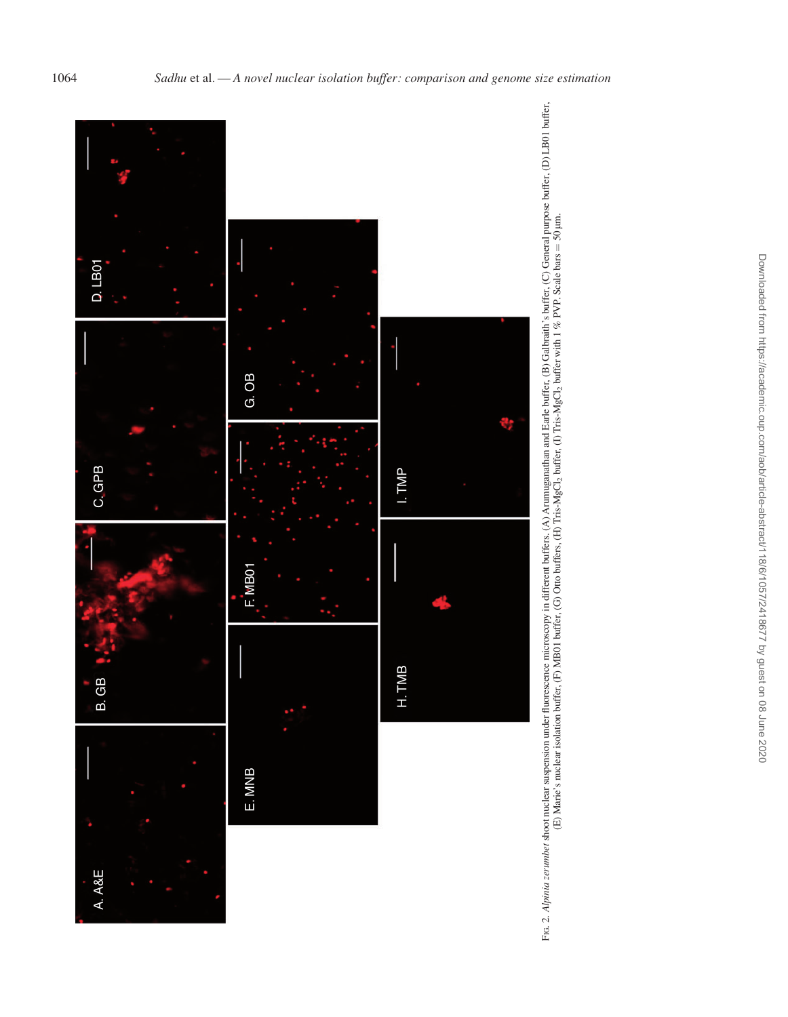<span id="page-7-0"></span>

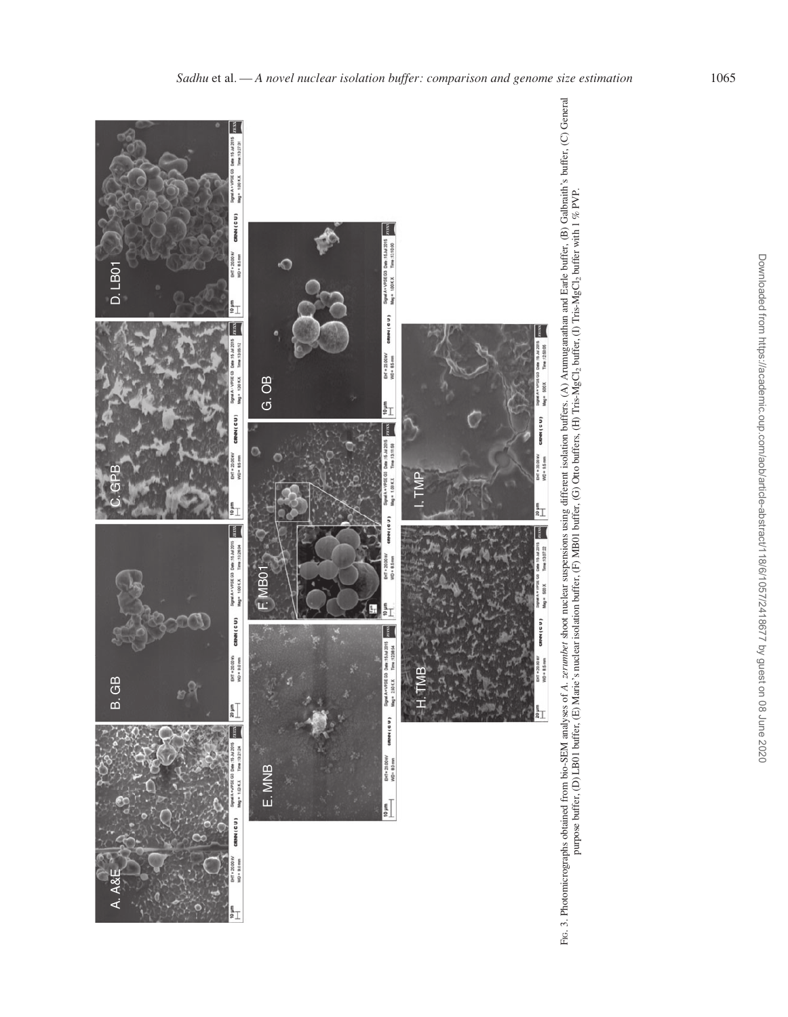<span id="page-8-0"></span>

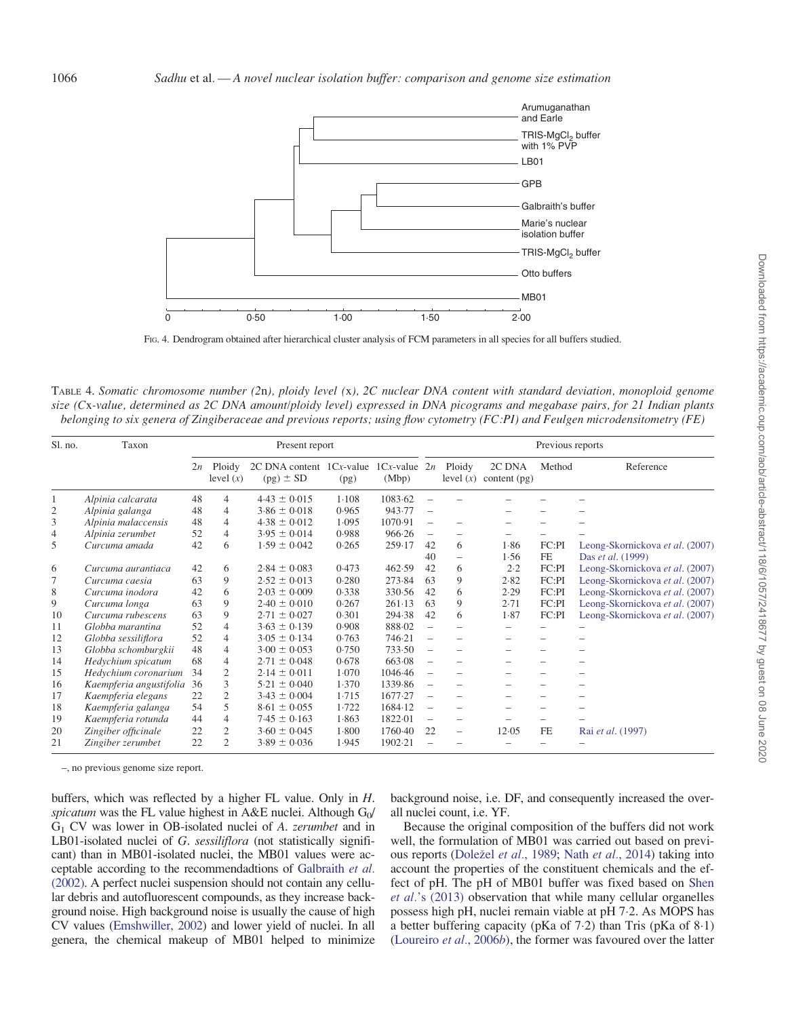<span id="page-9-0"></span>

FIG. 4. Dendrogram obtained after hierarchical cluster analysis of FCM parameters in all species for all buffers studied.

TABLE 4. Somatic chromosome number (2n), ploidy level (x), 2C nuclear DNA content with standard deviation, monoploid genome size (Cx-value, determined as 2C DNA amount/ploidy level) expressed in DNA picograms and megabase pairs, for 21 Indian plants belonging to six genera of Zingiberaceae and previous reports; using flow cytometry (FC:PI) and Feulgen microdensitometry (FE)

| Sl. no.      | Taxon                   | Present report |                       |                                                                |       | Previous reports |                          |                          |                          |                          |                                 |
|--------------|-------------------------|----------------|-----------------------|----------------------------------------------------------------|-------|------------------|--------------------------|--------------------------|--------------------------|--------------------------|---------------------------------|
|              |                         | 2n             | Ploidy<br>level $(x)$ | 2C DNA content $1Cx$ -value $1Cx$ -value $2n$<br>$(pg) \pm SD$ | (pg)  | (Mbp)            |                          | Ploidy<br>level $(x)$    | 2C DNA<br>content $(pg)$ | Method                   | Reference                       |
| $\mathbf{1}$ | Alpinia calcarata       | 48             | $\overline{4}$        | $4.43 \pm 0.015$                                               | 1.108 | 1083.62          |                          |                          |                          |                          |                                 |
| 2            | Alpinia galanga         | 48             | 4                     | $3.86 \pm 0.018$                                               | 0.965 | 943.77           |                          |                          |                          |                          |                                 |
| 3            | Alpinia malaccensis     | 48             | $\overline{4}$        | $4.38 \pm 0.012$                                               | 1.095 | 1070.91          |                          |                          |                          |                          |                                 |
| 4            | Alpinia zerumbet        | 52             | $\overline{4}$        | $3.95 \pm 0.014$                                               | 0.988 | 966.26           |                          |                          |                          |                          |                                 |
| 5            | Curcuma amada           | 42             | 6                     | $1.59 \pm 0.042$                                               | 0.265 | 259.17           | 42                       | 6                        | 1.86                     | FC:PI                    | Leong-Skornickova et al. (2007) |
|              |                         |                |                       |                                                                |       |                  | 40                       | $\overline{\phantom{0}}$ | 1.56                     | $\rm FE$                 | Das et al. (1999)               |
| 6            | Curcuma aurantiaca      | 42             | 6                     | $2.84 \pm 0.083$                                               | 0.473 | 462.59           | 42                       | 6                        | 2.2                      | FC:PI                    | Leong-Skornickova et al. (2007) |
|              | Curcuma caesia          | 63             | 9                     | $2.52 \pm 0.013$                                               | 0.280 | 273.84           | 63                       | 9                        | 2.82                     | FC:PI                    | Leong-Skornickova et al. (2007) |
| 8            | Curcuma inodora         | 42             | 6                     | $2.03 \pm 0.009$                                               | 0.338 | 330.56           | 42                       | 6                        | 2.29                     | FC:PI                    | Leong-Skornickova et al. (2007) |
| 9            | Curcuma longa           | 63             | 9                     | $2.40 \pm 0.010$                                               | 0.267 | 261.13           | 63                       | 9                        | 2.71                     | FC:PI                    | Leong-Skornickova et al. (2007) |
| 10           | Curcuma rubescens       | 63             | 9                     | $2.71 \pm 0.027$                                               | 0.301 | 294.38           | 42                       | 6                        | 1.87                     | FC:PI                    | Leong-Skornickova et al. (2007) |
| 11           | Globba marantina        | 52             | $\overline{4}$        | $3.63 \pm 0.139$                                               | 0.908 | 888.02           |                          |                          |                          |                          |                                 |
| 12           | Globba sessiliflora     | 52             | $\overline{4}$        | $3.05 \pm 0.134$                                               | 0.763 | 746.21           |                          |                          |                          |                          |                                 |
| 13           | Globba schomburgkii     | 48             | 4                     | $3.00 \pm 0.053$                                               | 0.750 | 733.50           | $\overline{\phantom{0}}$ |                          |                          |                          |                                 |
| 14           | Hedychium spicatum      | 68             | 4                     | $2.71 \pm 0.048$                                               | 0.678 | 663.08           |                          |                          |                          |                          |                                 |
| 15           | Hedychium coronarium    | 34             | $\overline{2}$        | $2.14 \pm 0.011$                                               | 1.070 | 1046.46          |                          |                          |                          |                          |                                 |
| 16           | Kaempferia angustifolia | -36            | 3                     | $5.21 \pm 0.040$                                               | 1.370 | 1339.86          |                          |                          |                          |                          |                                 |
| 17           | Kaempferia elegans      | 22             | $\overline{2}$        | $3.43 \pm 0.004$                                               | 1.715 | 1677.27          |                          |                          |                          |                          |                                 |
| 18           | Kaempferia galanga      | 54             | 5                     | $8.61 \pm 0.055$                                               | 1.722 | 1684.12          |                          | -                        |                          | $\overline{\phantom{0}}$ |                                 |
| 19           | Kaempferia rotunda      | 44             | $\overline{4}$        | $7.45 \pm 0.163$                                               | 1.863 | 1822.01          |                          | -                        |                          |                          |                                 |
| 20           | Zingiber officinale     | 22             | 2                     | $3.60 \pm 0.045$                                               | 1.800 | 1760.40          | 22                       | $\overline{\phantom{0}}$ | 12.05                    | FE                       | Rai et al. (1997)               |
| 21           | Zingiber zerumbet       | 22             | 2                     | $3.89 \pm 0.036$                                               | 1.945 | 1902-21          |                          |                          |                          |                          |                                 |

–, no previous genome size report.

buffers, which was reflected by a higher FL value. Only in H. spicatum was the FL value highest in A&E nuclei. Although  $G_0/$ G1 CV was lower in OB-isolated nuclei of A. zerumbet and in LB01-isolated nuclei of G. sessiliflora (not statistically significant) than in MB01-isolated nuclei, the MB01 values were acceptable according to the recommendadtions of [Galbraith](#page-12-0) et al. [\(2002\)](#page-12-0). A perfect nuclei suspension should not contain any cellular debris and autofluorescent compounds, as they increase background noise. High background noise is usually the cause of high CV values [\(Emshwiller, 2002](#page-12-0)) and lower yield of nuclei. In all genera, the chemical makeup of MB01 helped to minimize

background noise, i.e. DF, and consequently increased the overall nuclei count, i.e. YF.

Because the original composition of the buffers did not work well, the formulation of MB01 was carried out based on previ-ous reports ([Dole](#page-11-0)žel et al.[, 1989;](#page-11-0) Nath et al.[, 2014\)](#page-12-0) taking into account the properties of the constituent chemicals and the effect of pH. The pH of MB01 buffer was fixed based on [Shen](#page-12-0) et al.['s \(2013\)](#page-12-0) observation that while many cellular organelles possess high pH, nuclei remain viable at pH 7.2. As MOPS has a better buffering capacity (pKa of  $7.2$ ) than Tris (pKa of  $8.1$ ) ([Loureiro](#page-12-0) et al., 2006b), the former was favoured over the latter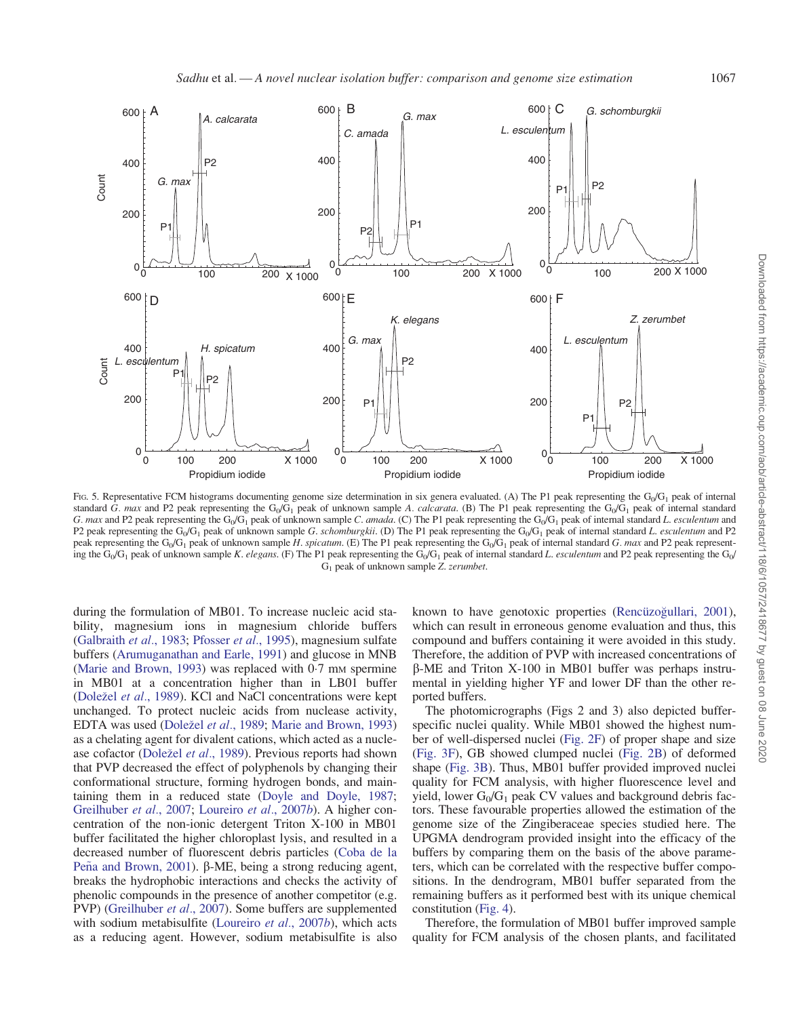<span id="page-10-0"></span>

FIG. 5. Representative FCM histograms documenting genome size determination in six genera evaluated. (A) The P1 peak representing the  $G_0/G_1$  peak of internal standard G. max and P2 peak representing the G<sub>0</sub>/G<sub>1</sub> peak of unknown sample A. calcarata. (B) The P1 peak representing the G<sub>0</sub>/G<sub>1</sub> peak of internal standard G. max and P2 peak representing the G<sub>0</sub>/G<sub>1</sub> peak of unknown sample C. amada. (C) The P1 peak representing the G<sub>0</sub>/G<sub>1</sub> peak of internal standard L. esculentum and P2 peak representing the G<sub>0</sub>/G<sub>1</sub> peak of unknown sample G. schomburgkii. (D) The P1 peak representing the G<sub>0</sub>/G<sub>1</sub> peak of internal standard L. esculentum and P2 peak representing the G<sub>0</sub>/G<sub>1</sub> peak of unknown sample H. spicatum. (E) The P1 peak representing the G<sub>0</sub>/G<sub>1</sub> peak of internal standard G. max and P2 peak representing the G<sub>0</sub>/G<sub>1</sub> peak of unknown sample K. elegans. (F) The P1 peak representing the G<sub>0</sub>/G<sub>1</sub> peak of internal standard L. esculentum and P2 peak representing the G<sub>0</sub>/ G1 peak of unknown sample Z. zerumbet.

during the formulation of MB01. To increase nucleic acid stability, magnesium ions in magnesium chloride buffers [\(Galbraith](#page-12-0) et al., 1983; [Pfosser](#page-12-0) et al., 1995), magnesium sulfate buffers ([Arumuganathan and Earle, 1991\)](#page-11-0) and glucose in MNB [\(Marie and Brown, 1993\)](#page-12-0) was replaced with  $0.7$  mm spermine in MB01 at a concentration higher than in LB01 buffer [\(Dole](#page-11-0)žel et al.[, 1989](#page-11-0)). KCl and NaCl concentrations were kept unchanged. To protect nucleic acids from nuclease activity, EDTA was used ([Dole](#page-11-0)žel et al.[, 1989;](#page-11-0) [Marie and Brown, 1993](#page-12-0)) as a chelating agent for divalent cations, which acted as a nucle-ase cofactor ([Dole](#page-11-0)žel et al.[, 1989\)](#page-11-0). Previous reports had shown that PVP decreased the effect of polyphenols by changing their conformational structure, forming hydrogen bonds, and maintaining them in a reduced state ([Doyle and Doyle, 1987;](#page-12-0) [Greilhuber](#page-12-0) et al., 2007; [Loureiro](#page-12-0) et al., 2007b). A higher concentration of the non-ionic detergent Triton X-100 in MB01 buffer facilitated the higher chloroplast lysis, and resulted in a decreased number of fluorescent debris particles [\(Coba de la](#page-11-0) [Pe](#page-11-0) $\tilde{n}$ [a and Brown, 2001\)](#page-11-0). β-ME, being a strong reducing agent, breaks the hydrophobic interactions and checks the activity of phenolic compounds in the presence of another competitor (e.g. PVP) [\(Greilhuber](#page-12-0) et al., 2007). Some buffers are supplemented with sodium metabisulfite [\(Loureiro](#page-12-0) et al., 2007b), which acts as a reducing agent. However, sodium metabisulfite is also known to have genotoxic properties (Rencüzog[ullari, 2001\)](#page-12-0), which can result in erroneous genome evaluation and thus, this compound and buffers containing it were avoided in this study. Therefore, the addition of PVP with increased concentrations of  $\beta$ -ME and Triton X-100 in MB01 buffer was perhaps instrumental in yielding higher YF and lower DF than the other reported buffers.

The photomicrographs (Figs 2 and 3) also depicted bufferspecific nuclei quality. While MB01 showed the highest number of well-dispersed nuclei [\(Fig. 2F](#page-7-0)) of proper shape and size ([Fig. 3F\)](#page-8-0), GB showed clumped nuclei [\(Fig. 2B](#page-7-0)) of deformed shape [\(Fig. 3B\)](#page-8-0). Thus, MB01 buffer provided improved nuclei quality for FCM analysis, with higher fluorescence level and yield, lower  $G_0/G_1$  peak CV values and background debris factors. These favourable properties allowed the estimation of the genome size of the Zingiberaceae species studied here. The UPGMA dendrogram provided insight into the efficacy of the buffers by comparing them on the basis of the above parameters, which can be correlated with the respective buffer compositions. In the dendrogram, MB01 buffer separated from the remaining buffers as it performed best with its unique chemical constitution ([Fig. 4](#page-9-0)).

Therefore, the formulation of MB01 buffer improved sample quality for FCM analysis of the chosen plants, and facilitated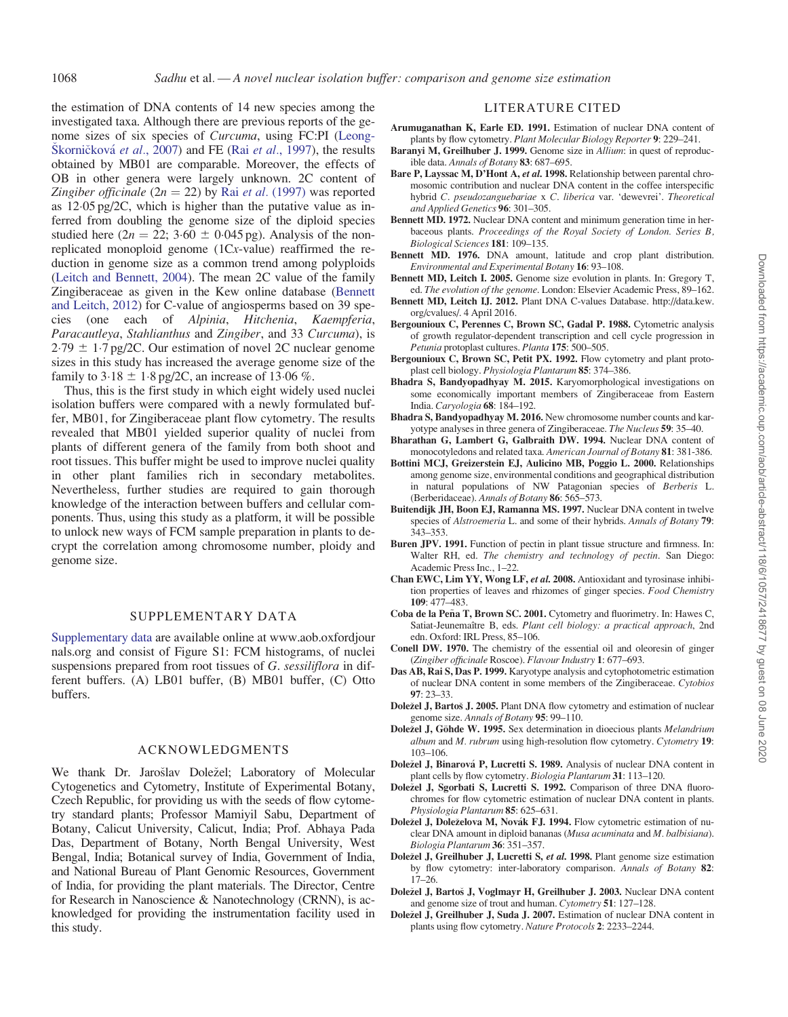<span id="page-11-0"></span>the estimation of DNA contents of 14 new species among the investigated taxa. Although there are previous reports of the genome sizes of six species of Curcuma, using FC:PI [\(Leong](#page-12-0)Š[korni](#page-12-0)č[kov](#page-12-0)á et al.[, 2007](#page-12-0)) and FE (Rai et al.[, 1997](#page-12-0)), the results obtained by MB01 are comparable. Moreover, the effects of OB in other genera were largely unknown. 2C content of Zingiber officinale ( $2n = 22$ ) by Rai et al. [\(1997\)](#page-12-0) was reported as 12.05 pg/2C, which is higher than the putative value as inferred from doubling the genome size of the diploid species studied here  $(2n = 22; 3.60 \pm 0.045 \text{ pg})$ . Analysis of the nonreplicated monoploid genome (1Cx-value) reaffirmed the reduction in genome size as a common trend among polyploids [\(Leitch and Bennett, 2004\)](#page-12-0). The mean 2C value of the family Zingiberaceae as given in the Kew online database (Bennett and Leitch, 2012) for C-value of angiosperms based on 39 species (one each of Alpinia, Hitchenia, Kaempferia, Paracautleya, Stahlianthus and Zingiber, and 33 Curcuma), is  $2.79 \pm 1.7$  pg/2C. Our estimation of novel 2C nuclear genome sizes in this study has increased the average genome size of the family to  $3.18 \pm 1.8$  pg/2C, an increase of 13.06 %.

Thus, this is the first study in which eight widely used nuclei isolation buffers were compared with a newly formulated buffer, MB01, for Zingiberaceae plant flow cytometry. The results revealed that MB01 yielded superior quality of nuclei from plants of different genera of the family from both shoot and root tissues. This buffer might be used to improve nuclei quality in other plant families rich in secondary metabolites. Nevertheless, further studies are required to gain thorough knowledge of the interaction between buffers and cellular components. Thus, using this study as a platform, it will be possible to unlock new ways of FCM sample preparation in plants to decrypt the correlation among chromosome number, ploidy and genome size.

# SUPPLEMENTARY DATA

[Supplementary data](http://aob.oxfordjournals.org/lookup/suppl/doi:10.1093/aob/mcw173/-/DC1) are available online at [www.aob.oxfordjour](http://www.aob.oxfordjournals.org) [nals.org](http://www.aob.oxfordjournals.org) and consist of Figure S1: FCM histograms, of nuclei suspensions prepared from root tissues of G. sessiliflora in different buffers. (A) LB01 buffer, (B) MB01 buffer, (C) Otto buffers.

# ACKNOWLEDGMENTS

We thank Dr. Jarošlav Doležel; Laboratory of Molecular Cytogenetics and Cytometry, Institute of Experimental Botany, Czech Republic, for providing us with the seeds of flow cytometry standard plants; Professor Mamiyil Sabu, Department of Botany, Calicut University, Calicut, India; Prof. Abhaya Pada Das, Department of Botany, North Bengal University, West Bengal, India; Botanical survey of India, Government of India, and National Bureau of Plant Genomic Resources, Government of India, for providing the plant materials. The Director, Centre for Research in Nanoscience & Nanotechnology (CRNN), is acknowledged for providing the instrumentation facility used in this study.

#### LITERATURE CITED

- Arumuganathan K, Earle ED. 1991. Estimation of nuclear DNA content of plants by flow cytometry. Plant Molecular Biology Reporter 9: 229–241.
- Baranyi M, Greilhuber J. 1999. Genome size in *Allium*: in quest of reproducible data. Annals of Botany 83: 687–695.
- Bare P, Layssac M, D'Hont A, et al. 1998. Relationship between parental chromosomic contribution and nuclear DNA content in the coffee interspecific hybrid C. pseudozanguebariae x C. liberica var. 'dewevrei'. Theoretical and Applied Genetics 96: 301–305.
- Bennett MD. 1972. Nuclear DNA content and minimum generation time in herbaceous plants. Proceedings of the Royal Society of London. Series B, Biological Sciences 181: 109–135.
- Bennett MD. 1976. DNA amount, latitude and crop plant distribution. Environmental and Experimental Botany 16: 93–108.
- Bennett MD, Leitch I. 2005. Genome size evolution in plants. In: Gregory T, ed. The evolution of the genome. London: Elsevier Academic Press, 89–162.
- Bennett MD, Leitch IJ. 2012. Plant DNA C-values Database. [http://data.kew.](http://data.kew.org/cvalues/) [org/cvalues/.](http://data.kew.org/cvalues/) 4 April 2016.
- Bergounioux C, Perennes C, Brown SC, Gadal P. 1988. Cytometric analysis of growth regulator-dependent transcription and cell cycle progression in Petunia protoplast cultures. Planta 175: 500–505.
- Bergounioux C, Brown SC, Petit PX. 1992. Flow cytometry and plant protoplast cell biology. Physiologia Plantarum 85: 374–386.
- Bhadra S, Bandyopadhyay M. 2015. Karyomorphological investigations on some economically important members of Zingiberaceae from Eastern India. Caryologia 68: 184–192.
- Bhadra S, Bandyopadhyay M. 2016. New chromosome number counts and karyotype analyses in three genera of Zingiberaceae. The Nucleus 59: 35–40.
- Bharathan G, Lambert G, Galbraith DW. 1994. Nuclear DNA content of monocotyledons and related taxa. American Journal of Botany 81: 381-386.
- Bottini MCJ, Greizerstein EJ, Aulicino MB, Poggio L. 2000. Relationships among genome size, environmental conditions and geographical distribution in natural populations of NW Patagonian species of Berberis L. (Berberidaceae). Annals of Botany 86: 565–573.
- Buitendijk JH, Boon EJ, Ramanna MS. 1997. Nuclear DNA content in twelve species of Alstroemeria L. and some of their hybrids. Annals of Botany 79: 343–353.
- Buren JPV. 1991. Function of pectin in plant tissue structure and firmness. In: Walter RH, ed. The chemistry and technology of pectin. San Diego: Academic Press Inc., 1–22.
- Chan EWC, Lim YY, Wong LF, et al. 2008. Antioxidant and tyrosinase inhibition properties of leaves and rhizomes of ginger species. Food Chemistry 109: 477–483.
- Coba de la Peña T, Brown SC. 2001. Cytometry and fluorimetry. In: Hawes C, Satiat-Jeunemaître B, eds. Plant cell biology: a practical approach, 2nd edn. Oxford: IRL Press, 85–106.
- Conell DW. 1970. The chemistry of the essential oil and oleoresin of ginger (Zingiber officinale Roscoe). Flavour Industry 1: 677–693.
- Das AB, Rai S, Das P. 1999. Karyotype analysis and cytophotometric estimation of nuclear DNA content in some members of the Zingiberaceae. Cytobios 97: 23–33.
- Doležel J, Bartoš J. 2005. Plant DNA flow cytometry and estimation of nuclear genome size. Annals of Botany 95: 99–110.
- Doležel J, Göhde W. 1995. Sex determination in dioecious plants Melandrium album and M. rubrum using high-resolution flow cytometry. Cytometry 19: 103–106.
- Doležel J, Binarová P, Lucretti S. 1989. Analysis of nuclear DNA content in plant cells by flow cytometry. Biologia Plantarum 31: 113–120.
- Doležel J, Sgorbati S, Lucretti S. 1992. Comparison of three DNA fluorochromes for flow cytometric estimation of nuclear DNA content in plants. Physiologia Plantarum 85: 625–631.
- Doležel J, Doleželova M, Novák FJ. 1994. Flow cytometric estimation of nuclear DNA amount in diploid bananas (Musa acuminata and M. balbisiana). Biologia Plantarum 36: 351–357.
- Doležel J, Greilhuber J, Lucretti S, et al. 1998. Plant genome size estimation by flow cytometry: inter-laboratory comparison. Annals of Botany 82:  $17-26$ .
- Doležel J, Bartoš J, Voglmayr H, Greilhuber J. 2003. Nuclear DNA content and genome size of trout and human. Cytometry 51: 127–128.
- Doležel J, Greilhuber J, Suda J. 2007. Estimation of nuclear DNA content in plants using flow cytometry. Nature Protocols 2: 2233–2244.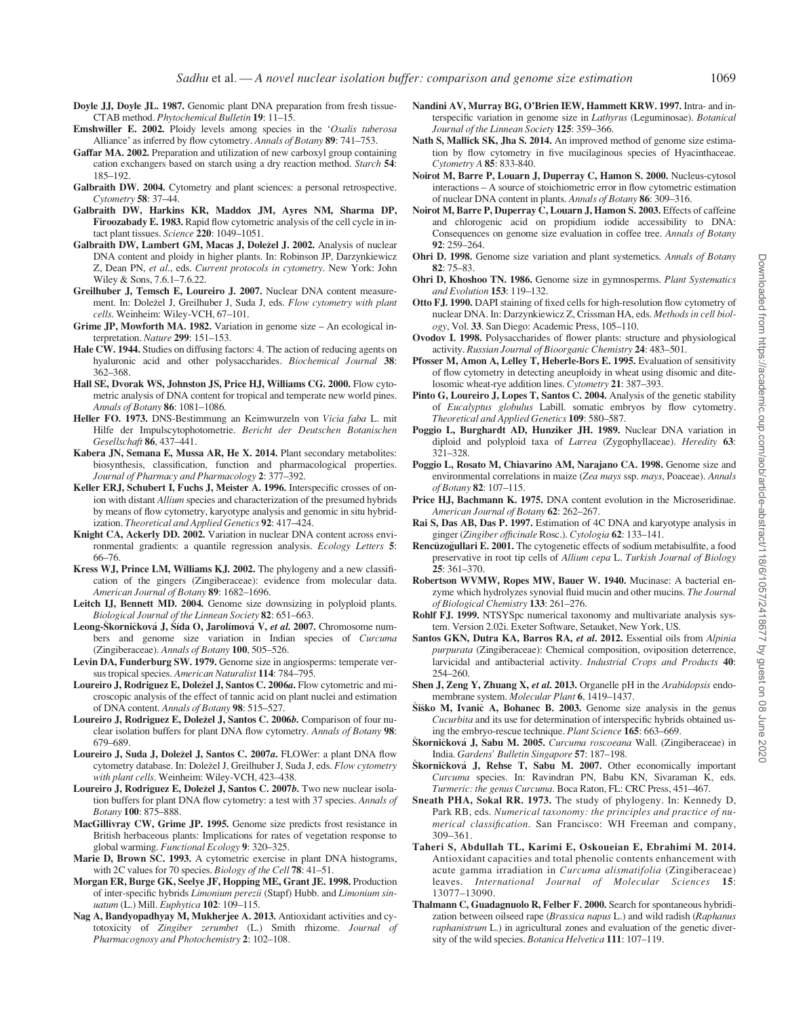- <span id="page-12-0"></span>Doyle JJ, Doyle JL. 1987. Genomic plant DNA preparation from fresh tissue-CTAB method. Phytochemical Bulletin 19: 11–15.
- Emshwiller E. 2002. Ploidy levels among species in the 'Oxalis tuberosa Alliance' as inferred by flow cytometry. Annals of Botany 89: 741–753.
- Gaffar MA. 2002. Preparation and utilization of new carboxyl group containing cation exchangers based on starch using a dry reaction method. Starch 54: 185–192.
- Galbraith DW. 2004. Cytometry and plant sciences: a personal retrospective. Cytometry 58: 37–44.
- Galbraith DW, Harkins KR, Maddox JM, Ayres NM, Sharma DP, Firoozabady E. 1983. Rapid flow cytometric analysis of the cell cycle in intact plant tissues. Science 220: 1049–1051.
- Galbraith DW, Lambert GM, Macas J, Doležel J. 2002. Analysis of nuclear DNA content and ploidy in higher plants. In: Robinson JP, Darzynkiewicz Z, Dean PN, et al., eds. Current protocols in cytometry. New York: John Wiley & Sons, 7.6.1–7.6.22.
- Greilhuber J, Temsch E, Loureiro J. 2007. Nuclear DNA content measurement. In: Doležel J, Greilhuber J, Suda J, eds. Flow cytometry with plant cells. Weinheim: Wiley-VCH, 67–101.
- Grime JP, Mowforth MA. 1982. Variation in genome size An ecological interpretation. Nature 299: 151–153.
- Hale CW. 1944. Studies on diffusing factors: 4. The action of reducing agents on hyaluronic acid and other polysaccharides. Biochemical Journal 38: 362–368.
- Hall SE, Dvorak WS, Johnston JS, Price HJ, Williams CG. 2000. Flow cytometric analysis of DNA content for tropical and temperate new world pines. Annals of Botany 86: 1081–1086.
- Heller FO. 1973. DNS-Bestimmung an Keimwurzeln von Vicia faba L. mit Hilfe der Impulscytophotometrie. Bericht der Deutschen Botanischen Gesellschaft 86, 437–441.
- Kabera JN, Semana E, Mussa AR, He X. 2014. Plant secondary metabolites: biosynthesis, classification, function and pharmacological properties. Journal of Pharmacy and Pharmacology 2: 377–392.
- Keller ERJ, Schubert I, Fuchs J, Meister A. 1996. Interspecific crosses of onion with distant Allium species and characterization of the presumed hybrids by means of flow cytometry, karyotype analysis and genomic in situ hybridization. Theoretical and Applied Genetics 92: 417–424.
- Knight CA, Ackerly DD. 2002. Variation in nuclear DNA content across environmental gradients: a quantile regression analysis. Ecology Letters 5: 66–76.
- Kress WJ, Prince LM, Williams KJ. 2002. The phylogeny and a new classification of the gingers (Zingiberaceae): evidence from molecular data. American Journal of Botany 89: 1682–1696.
- Leitch IJ, Bennett MD. 2004. Genome size downsizing in polyploid plants. Biological Journal of the Linnean Society 82: 651–663.
- Leong-Škorničková J, Šída O, Jarolímová V, et al. 2007. Chromosome numbers and genome size variation in Indian species of Curcuma (Zingiberaceae). Annals of Botany 100, 505–526.
- Levin DA, Funderburg SW. 1979. Genome size in angiosperms: temperate versus tropical species. American Naturalist 114: 784–795.
- Loureiro J, Rodriguez E, Doležel J, Santos C. 2006a. Flow cytometric and microscopic analysis of the effect of tannic acid on plant nuclei and estimation of DNA content. Annals of Botany 98: 515–527.
- Loureiro J, Rodriguez E, Doležel J, Santos C. 2006b. Comparison of four nuclear isolation buffers for plant DNA flow cytometry. Annals of Botany 98: 679–689.
- Loureiro J, Suda J, Doležel J, Santos C. 2007a. FLOWer: a plant DNA flow cytometry database. In: Doležel J, Greilhuber J, Suda J, eds. Flow cytometry with plant cells. Weinheim: Wiley-VCH, 423–438.
- Loureiro J, Rodriguez E, Doležel J, Santos C. 2007b. Two new nuclear isolation buffers for plant DNA flow cytometry: a test with 37 species. Annals of Botany 100: 875–888.
- MacGillivray CW, Grime JP. 1995. Genome size predicts frost resistance in British herbaceous plants: Implications for rates of vegetation response to global warming. Functional Ecology 9: 320–325.
- Marie D, Brown SC. 1993. A cytometric exercise in plant DNA histograms, with 2C values for 70 species. Biology of the Cell 78: 41-51.
- Morgan ER, Burge GK, Seelye JF, Hopping ME, Grant JE. 1998. Production of inter-specific hybrids Limonium perezii (Stapf) Hubb. and Limonium sinuatum (L.) Mill. Euphytica 102: 109–115.
- Nag A, Bandyopadhyay M, Mukherjee A. 2013. Antioxidant activities and cytotoxicity of Zingiber zerumbet (L.) Smith rhizome. Journal of Pharmacognosy and Photochemistry 2: 102–108.
- Nandini AV, Murray BG, O'Brien IEW, Hammett KRW. 1997. Intra- and interspecific variation in genome size in Lathyrus (Leguminosae). Botanical Journal of the Linnean Society 125: 359–366.
- Nath S, Mallick SK, Jha S. 2014. An improved method of genome size estimation by flow cytometry in five mucilaginous species of Hyacinthaceae. Cytometry A 85: 833-840.
- Noirot M, Barre P, Louarn J, Duperray C, Hamon S. 2000. Nucleus-cytosol interactions – A source of stoichiometric error in flow cytometric estimation of nuclear DNA content in plants. Annals of Botany 86: 309–316.
- Noirot M, Barre P, Duperray C, Louarn J, Hamon S. 2003. Effects of caffeine and chlorogenic acid on propidium iodide accessibility to DNA: Consequences on genome size evaluation in coffee tree. Annals of Botany  $92: 259 - 264$
- Ohri D. 1998. Genome size variation and plant systemetics. Annals of Botany 82: 75–83.
- Ohri D, Khoshoo TN. 1986. Genome size in gymnosperms. Plant Systematics and Evolution 153: 119–132.
- Otto FJ. 1990. DAPI staining of fixed cells for high-resolution flow cytometry of nuclear DNA. In: Darzynkiewicz Z, Crissman HA, eds. Methods in cell biology, Vol. 33. San Diego: Academic Press, 105–110.
- Ovodov I. 1998. Polysaccharides of flower plants: structure and physiological activity. Russian Journal of Bioorganic Chemistry 24: 483–501.
- Pfosser M, Amon A, Lelley T, Heberle-Bors E. 1995. Evaluation of sensitivity of flow cytometry in detecting aneuploidy in wheat using disomic and ditelosomic wheat-rye addition lines. Cytometry 21: 387–393.
- Pinto G, Loureiro J, Lopes T, Santos C. 2004. Analysis of the genetic stability of Eucalyptus globulus Labill. somatic embryos by flow cytometry. Theoretical and Applied Genetics 109: 580–587.
- Poggio L, Burghardt AD, Hunziker JH. 1989. Nuclear DNA variation in diploid and polyploid taxa of Larrea (Zygophyllaceae). Heredity 63: 321–328.
- Poggio L, Rosato M, Chiavarino AM, Narajano CA. 1998. Genome size and environmental correlations in maize (Zea mays ssp. mays, Poaceae). Annals of Botany 82: 107–115.
- Price HJ, Bachmann K. 1975. DNA content evolution in the Microseridinae. American Journal of Botany 62: 262–267.
- Rai S, Das AB, Das P. 1997. Estimation of 4C DNA and karyotype analysis in ginger (Zingiber officinale Rosc.). Cytologia 62: 133–141.
- Rencüzogullari E. 2001. The cytogenetic effects of sodium metabisulfite, a food preservative in root tip cells of Allium cepa L. Turkish Journal of Biology 25: 361–370.
- Robertson WVMW, Ropes MW, Bauer W. 1940. Mucinase: A bacterial enzyme which hydrolyzes synovial fluid mucin and other mucins. The Journal of Biological Chemistry 133: 261–276.
- Rohlf FJ. 1999. NTSYSpc numerical taxonomy and multivariate analysis system. Version 2.02i. Exeter Software, Setauket, New York, US.
- Santos GKN, Dutra KA, Barros RA, et al. 2012. Essential oils from Alpinia purpurata (Zingiberaceae): Chemical composition, oviposition deterrence, larvicidal and antibacterial activity. Industrial Crops and Products 40: 254–260.
- Shen J, Zeng Y, Zhuang X, et al. 2013. Organelle pH in the Arabidopsis endomembrane system. Molecular Plant 6, 1419–1437.
- Šiško M, Ivanič A, Bohanec B. 2003. Genome size analysis in the genus Cucurbita and its use for determination of interspecific hybrids obtained using the embryo-rescue technique. Plant Science 165: 663–669.
- Škorničková J, Sabu M. 2005. Curcuma roscoeana Wall. (Zingiberaceae) in India. Gardens' Bulletin Singapore 57: 187–198.
- Škorničková J, Rehse T, Sabu M. 2007. Other economically important Curcuma species. In: Ravindran PN, Babu KN, Sivaraman K, eds. Turmeric: the genus Curcuma. Boca Raton, FL: CRC Press, 451–467.
- Sneath PHA, Sokal RR. 1973. The study of phylogeny. In: Kennedy D, Park RB, eds. Numerical taxonomy: the principles and practice of numerical classification. San Francisco: WH Freeman and company, 309–361.
- Taheri S, Abdullah TL, Karimi E, Oskoueian E, Ebrahimi M. 2014. Antioxidant capacities and total phenolic contents enhancement with acute gamma irradiation in Curcuma alismatifolia (Zingiberaceae) leaves. International Journal of Molecular Sciences 15: 13077–13090.
- Thalmann C, Guadagnuolo R, Felber F. 2000. Search for spontaneous hybridization between oilseed rape (Brassica napus L.) and wild radish (Raphanus raphanistrum L.) in agricultural zones and evaluation of the genetic diversity of the wild species. Botanica Helvetica 111: 107–119.